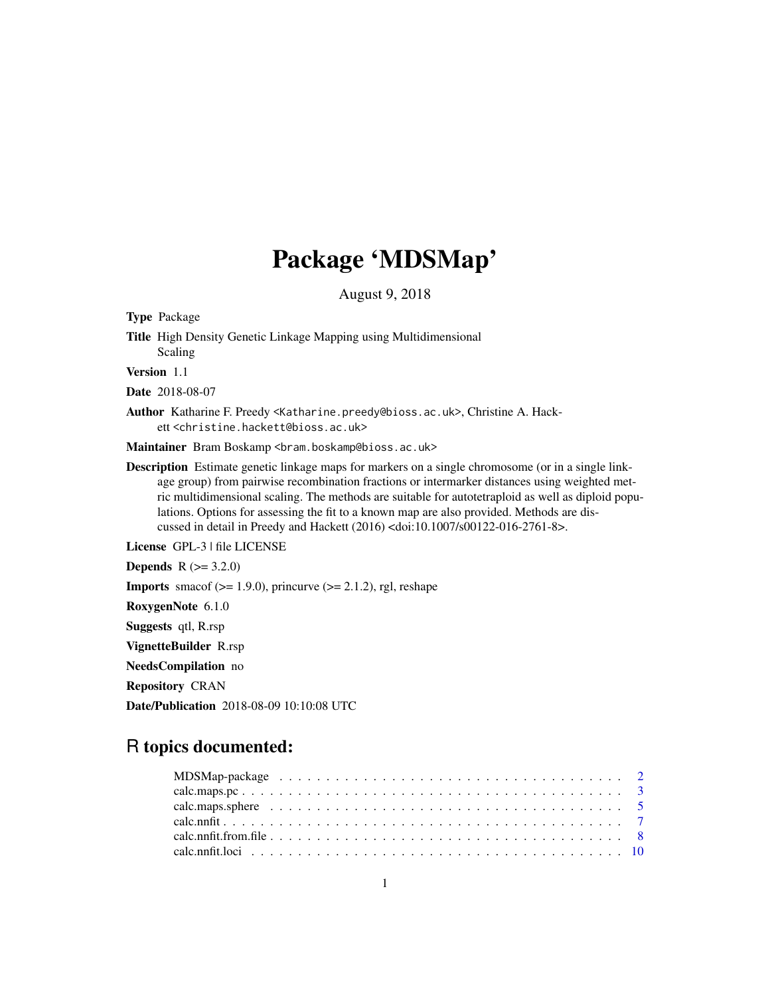# Package 'MDSMap'

August 9, 2018

<span id="page-0-0"></span>Type Package Title High Density Genetic Linkage Mapping using Multidimensional Scaling Version 1.1 Date 2018-08-07 Author Katharine F. Preedy <Katharine.preedy@bioss.ac.uk>, Christine A. Hackett <christine.hackett@bioss.ac.uk> Maintainer Bram Boskamp <br />bram.boskamp@bioss.ac.uk> Description Estimate genetic linkage maps for markers on a single chromosome (or in a single linkage group) from pairwise recombination fractions or intermarker distances using weighted metric multidimensional scaling. The methods are suitable for autotetraploid as well as diploid populations. Options for assessing the fit to a known map are also provided. Methods are discussed in detail in Preedy and Hackett (2016) <doi:10.1007/s00122-016-2761-8>. License GPL-3 | file LICENSE **Depends**  $R (= 3.2.0)$ **Imports** smacof  $(>= 1.9.0)$ , princurve  $(>= 2.1.2)$ , rgl, reshape RoxygenNote 6.1.0 Suggests qtl, R.rsp VignetteBuilder R.rsp NeedsCompilation no Repository CRAN Date/Publication 2018-08-09 10:10:08 UTC

# R topics documented: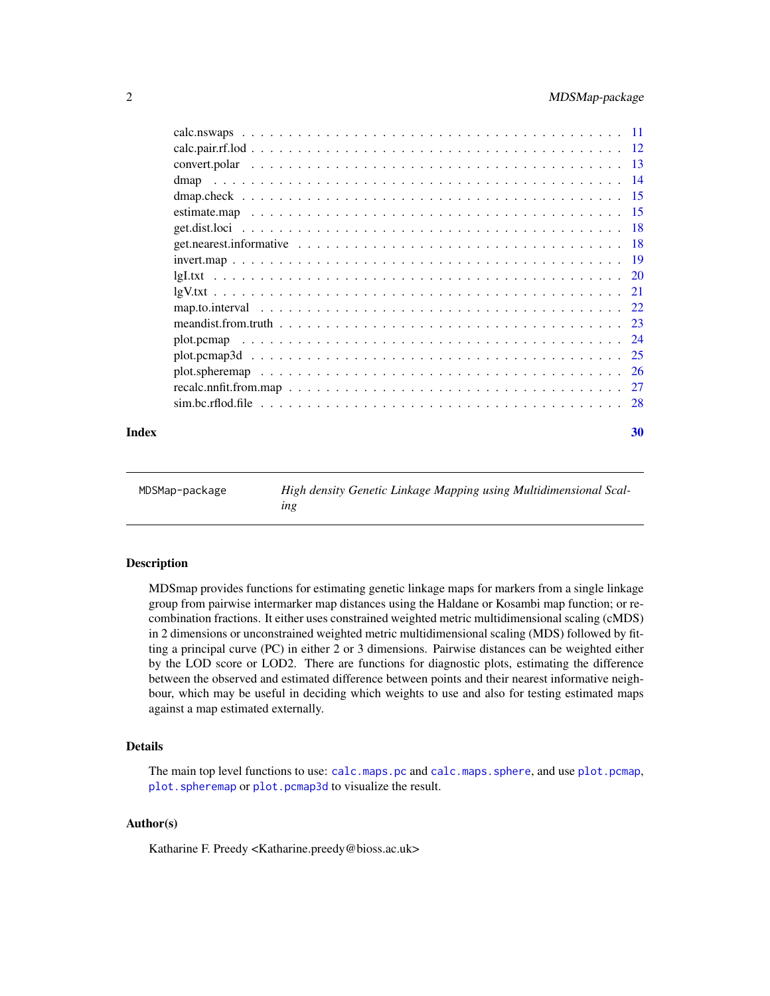<span id="page-1-0"></span>

# $\bf 30$  $\bf 30$

| MDSMap-package | High density Genetic Linkage Mapping using Multidimensional Scal- |
|----------------|-------------------------------------------------------------------|
|                | ing                                                               |

# Description

MDSmap provides functions for estimating genetic linkage maps for markers from a single linkage group from pairwise intermarker map distances using the Haldane or Kosambi map function; or recombination fractions. It either uses constrained weighted metric multidimensional scaling (cMDS) in 2 dimensions or unconstrained weighted metric multidimensional scaling (MDS) followed by fitting a principal curve (PC) in either 2 or 3 dimensions. Pairwise distances can be weighted either by the LOD score or LOD2. There are functions for diagnostic plots, estimating the difference between the observed and estimated difference between points and their nearest informative neighbour, which may be useful in deciding which weights to use and also for testing estimated maps against a map estimated externally.

# Details

The main top level functions to use: [calc.maps.pc](#page-2-1) and [calc.maps.sphere](#page-4-1), and use [plot.pcmap](#page-23-1), [plot.spheremap](#page-25-1) or [plot.pcmap3d](#page-24-1) to visualize the result.

# Author(s)

Katharine F. Preedy <Katharine.preedy@bioss.ac.uk>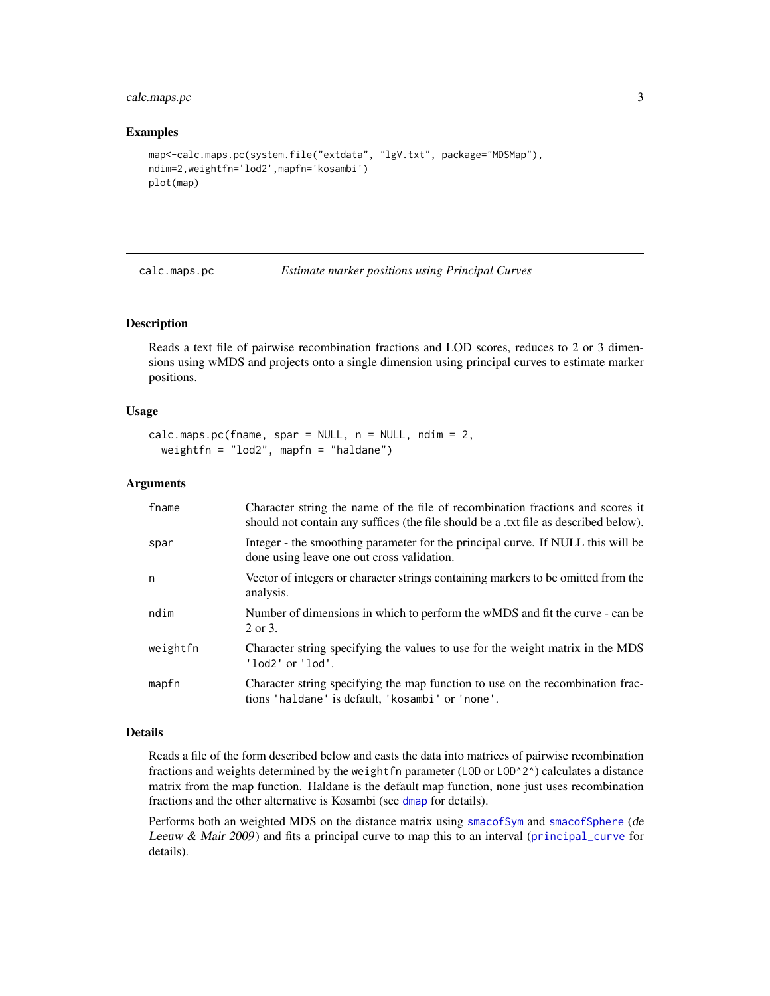# <span id="page-2-0"></span>calc.maps.pc 3

#### Examples

```
map<-calc.maps.pc(system.file("extdata", "lgV.txt", package="MDSMap"),
ndim=2,weightfn='lod2',mapfn='kosambi')
plot(map)
```
<span id="page-2-1"></span>calc.maps.pc *Estimate marker positions using Principal Curves*

# Description

Reads a text file of pairwise recombination fractions and LOD scores, reduces to 2 or 3 dimensions using wMDS and projects onto a single dimension using principal curves to estimate marker positions.

#### Usage

```
calc.maps.pcfname, spare = NULL, n = NULL, ndim = 2,weightfn = "lod2", mapfn = "haldane")
```
# Arguments

| fname    | Character string the name of the file of recombination fractions and scores it<br>should not contain any suffices (the file should be a txt file as described below). |
|----------|-----------------------------------------------------------------------------------------------------------------------------------------------------------------------|
| spar     | Integer - the smoothing parameter for the principal curve. If NULL this will be<br>done using leave one out cross validation.                                         |
| n        | Vector of integers or character strings containing markers to be omitted from the<br>analysis.                                                                        |
| ndim     | Number of dimensions in which to perform the wMDS and fit the curve - can be<br>2 or 3.                                                                               |
| weightfn | Character string specifying the values to use for the weight matrix in the MDS<br>'lod2' or 'lod'.                                                                    |
| mapfn    | Character string specifying the map function to use on the recombination frac-<br>tions 'haldane' is default, 'kosambi' or 'none'.                                    |

#### Details

Reads a file of the form described below and casts the data into matrices of pairwise recombination fractions and weights determined by the weight fn parameter (LOD or LOD^2^) calculates a distance matrix from the map function. Haldane is the default map function, none just uses recombination fractions and the other alternative is Kosambi (see [dmap](#page-13-1) for details).

Performs both an weighted MDS on the distance matrix using [smacofSym](#page-0-0) and [smacofSphere](#page-0-0) (de Leeuw & Mair 2009) and fits a principal curve to map this to an interval (principal curve for details).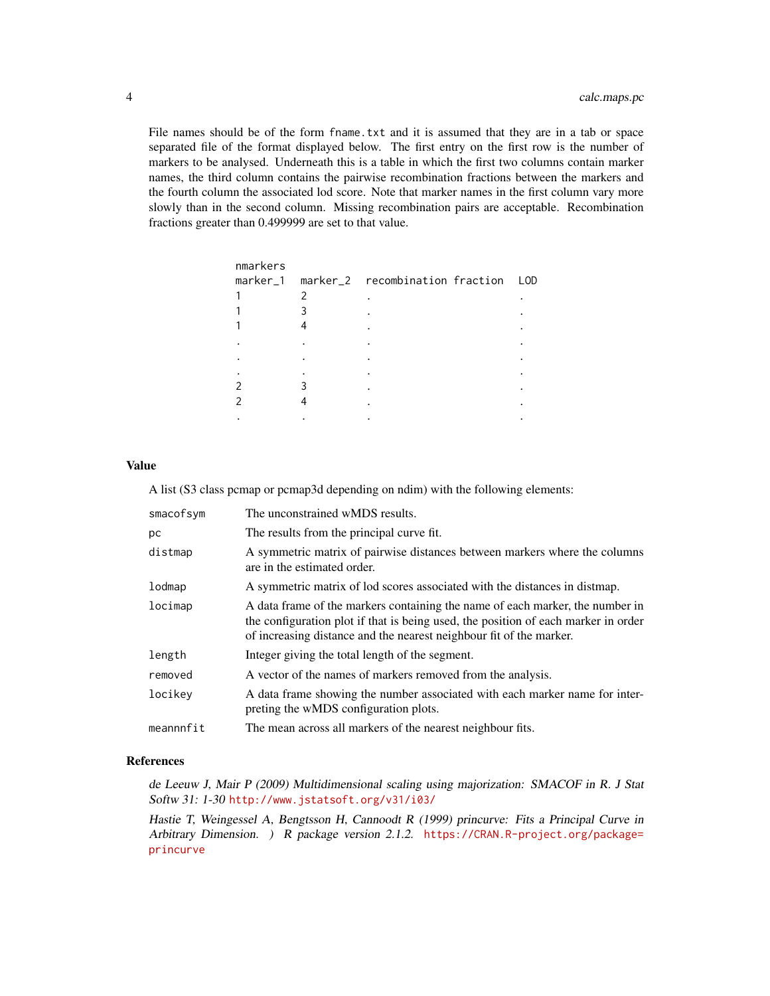File names should be of the form fname. txt and it is assumed that they are in a tab or space separated file of the format displayed below. The first entry on the first row is the number of markers to be analysed. Underneath this is a table in which the first two columns contain marker names, the third column contains the pairwise recombination fractions between the markers and the fourth column the associated lod score. Note that marker names in the first column vary more slowly than in the second column. Missing recombination pairs are acceptable. Recombination fractions greater than 0.499999 are set to that value.

| nmarkers |                                              |  |
|----------|----------------------------------------------|--|
|          | marker_1 marker_2 recombination fraction LOD |  |
|          |                                              |  |
|          |                                              |  |
|          |                                              |  |
|          |                                              |  |
|          |                                              |  |
|          |                                              |  |
|          |                                              |  |
|          |                                              |  |
|          |                                              |  |
|          |                                              |  |

# Value

A list (S3 class pcmap or pcmap3d depending on ndim) with the following elements:

| smacofsym | The unconstrained wMDS results.                                                                                                                                                                                                            |
|-----------|--------------------------------------------------------------------------------------------------------------------------------------------------------------------------------------------------------------------------------------------|
| pс        | The results from the principal curve fit.                                                                                                                                                                                                  |
| distmap   | A symmetric matrix of pairwise distances between markers where the columns<br>are in the estimated order.                                                                                                                                  |
| lodmap    | A symmetric matrix of lod scores associated with the distances in distmap.                                                                                                                                                                 |
| locimap   | A data frame of the markers containing the name of each marker, the number in<br>the configuration plot if that is being used, the position of each marker in order<br>of increasing distance and the nearest neighbour fit of the marker. |
| length    | Integer giving the total length of the segment.                                                                                                                                                                                            |
| removed   | A vector of the names of markers removed from the analysis.                                                                                                                                                                                |
| locikey   | A data frame showing the number associated with each marker name for inter-<br>preting the wMDS configuration plots.                                                                                                                       |
| meannnfit | The mean across all markers of the nearest neighbour fits.                                                                                                                                                                                 |

# References

de Leeuw J, Mair P (2009) Multidimensional scaling using majorization: SMACOF in R. J Stat Softw 31: 1-30 <http://www.jstatsoft.org/v31/i03/>

Hastie T, Weingessel A, Bengtsson H, Cannoodt R (1999) princurve: Fits a Principal Curve in Arbitrary Dimension. ) R package version 2.1.2. [https://CRAN.R-project.org/package=](https://CRAN.R-project.org/package=princurve) [princurve](https://CRAN.R-project.org/package=princurve)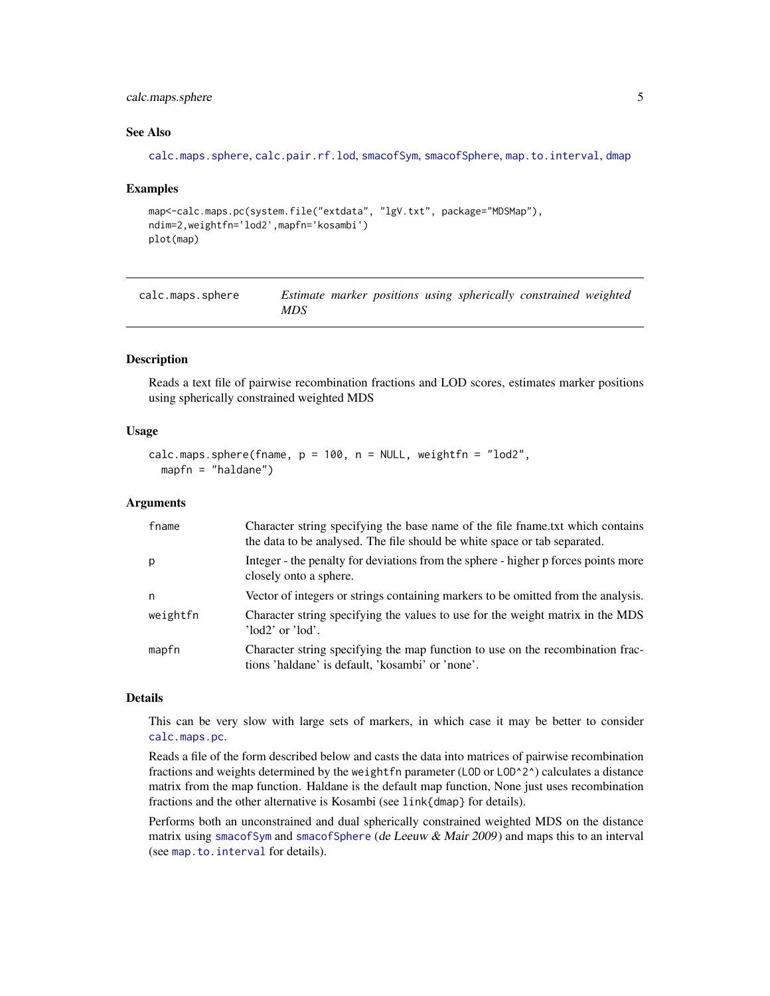# <span id="page-4-0"></span>calc.maps.sphere 5

#### See Also

```
calc.maps.sphere, calc.pair.rf.lod, smacofSym, smacofSphere, map.to.interval, dmap
```
#### Examples

```
map<-calc.maps.pc(system.file("extdata", "lgV.txt", package="MDSMap"),
ndim=2,weightfn='lod2',mapfn='kosambi')
plot(map)
```
<span id="page-4-1"></span>calc.maps.sphere *Estimate marker positions using spherically constrained weighted MDS*

# Description

Reads a text file of pairwise recombination fractions and LOD scores, estimates marker positions using spherically constrained weighted MDS

# Usage

```
calc.maps.sphere(fname, p = 100, n = NULL, weightfn = "lod2",
  mapfn = "haldane")
```
# **Arguments**

| fname    | Character string specifying the base name of the file frame.txt which contains<br>the data to be analysed. The file should be white space or tab separated. |
|----------|-------------------------------------------------------------------------------------------------------------------------------------------------------------|
| p        | Integer - the penalty for deviations from the sphere - higher p forces points more<br>closely onto a sphere.                                                |
| n        | Vector of integers or strings containing markers to be omitted from the analysis.                                                                           |
| weightfn | Character string specifying the values to use for the weight matrix in the MDS<br>$'$ lod $2'$ or $'$ lod'.                                                 |
| mapfn    | Character string specifying the map function to use on the recombination frac-<br>tions 'haldane' is default, 'kosambi' or 'none'.                          |

# Details

This can be very slow with large sets of markers, in which case it may be better to consider [calc.maps.pc](#page-2-1).

Reads a file of the form described below and casts the data into matrices of pairwise recombination fractions and weights determined by the weight fn parameter (LOD or LOD^2^) calculates a distance matrix from the map function. Haldane is the default map function, None just uses recombination fractions and the other alternative is Kosambi (see link{dmap} for details).

Performs both an unconstrained and dual spherically constrained weighted MDS on the distance matrix using [smacofSym](#page-0-0) and [smacofSphere](#page-0-0) (de Leeuw  $\&$  Mair 2009) and maps this to an interval (see [map.to.interval](#page-21-1) for details).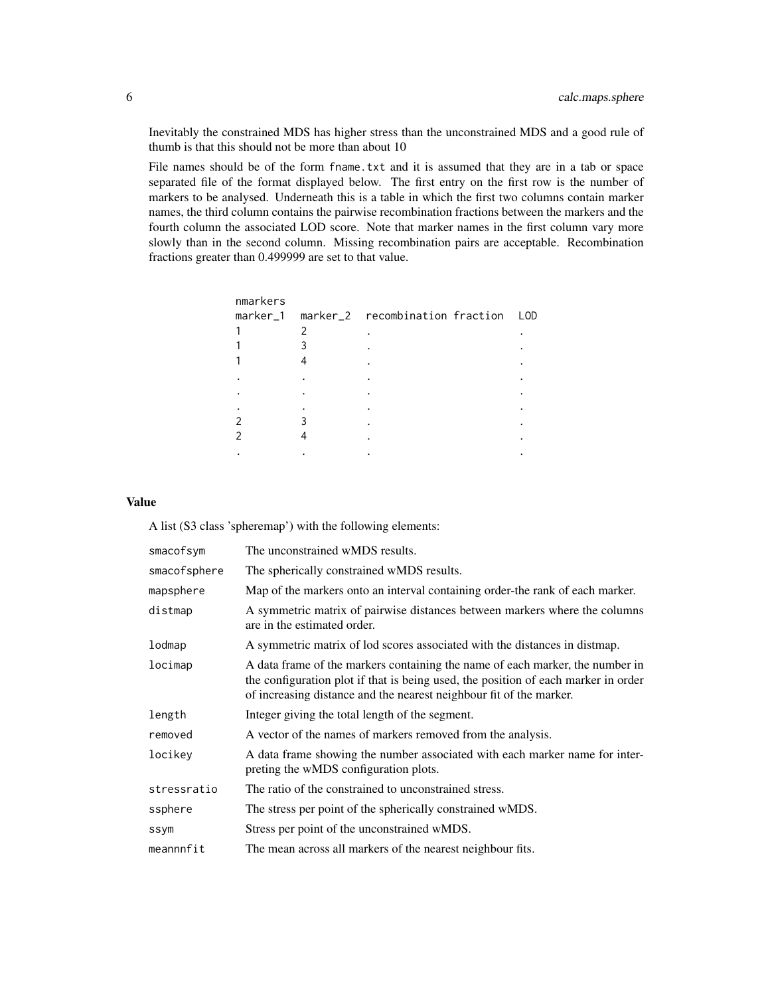Inevitably the constrained MDS has higher stress than the unconstrained MDS and a good rule of thumb is that this should not be more than about 10

File names should be of the form fname.txt and it is assumed that they are in a tab or space separated file of the format displayed below. The first entry on the first row is the number of markers to be analysed. Underneath this is a table in which the first two columns contain marker names, the third column contains the pairwise recombination fractions between the markers and the fourth column the associated LOD score. Note that marker names in the first column vary more slowly than in the second column. Missing recombination pairs are acceptable. Recombination fractions greater than 0.499999 are set to that value.

| nmarkers |                                              |  |
|----------|----------------------------------------------|--|
|          | marker_1 marker_2 recombination fraction LOD |  |
|          |                                              |  |
|          |                                              |  |
|          |                                              |  |
|          |                                              |  |
|          |                                              |  |
|          |                                              |  |
|          |                                              |  |
|          |                                              |  |
|          |                                              |  |
|          |                                              |  |

# Value

A list (S3 class 'spheremap') with the following elements:

| smacofsym    | The unconstrained wMDS results.                                                                                                                                                                                                            |
|--------------|--------------------------------------------------------------------------------------------------------------------------------------------------------------------------------------------------------------------------------------------|
| smacofsphere | The spherically constrained wMDS results.                                                                                                                                                                                                  |
| mapsphere    | Map of the markers onto an interval containing order-the rank of each marker.                                                                                                                                                              |
| distmap      | A symmetric matrix of pairwise distances between markers where the columns<br>are in the estimated order.                                                                                                                                  |
| lodmap       | A symmetric matrix of lod scores associated with the distances in distmap.                                                                                                                                                                 |
| locimap      | A data frame of the markers containing the name of each marker, the number in<br>the configuration plot if that is being used, the position of each marker in order<br>of increasing distance and the nearest neighbour fit of the marker. |
| length       | Integer giving the total length of the segment.                                                                                                                                                                                            |
| removed      | A vector of the names of markers removed from the analysis.                                                                                                                                                                                |
| locikey      | A data frame showing the number associated with each marker name for inter-<br>preting the wMDS configuration plots.                                                                                                                       |
| stressratio  | The ratio of the constrained to unconstrained stress.                                                                                                                                                                                      |
| ssphere      | The stress per point of the spherically constrained wMDS.                                                                                                                                                                                  |
| ssym         | Stress per point of the unconstrained wMDS.                                                                                                                                                                                                |
| meannnfit    | The mean across all markers of the nearest neighbour fits.                                                                                                                                                                                 |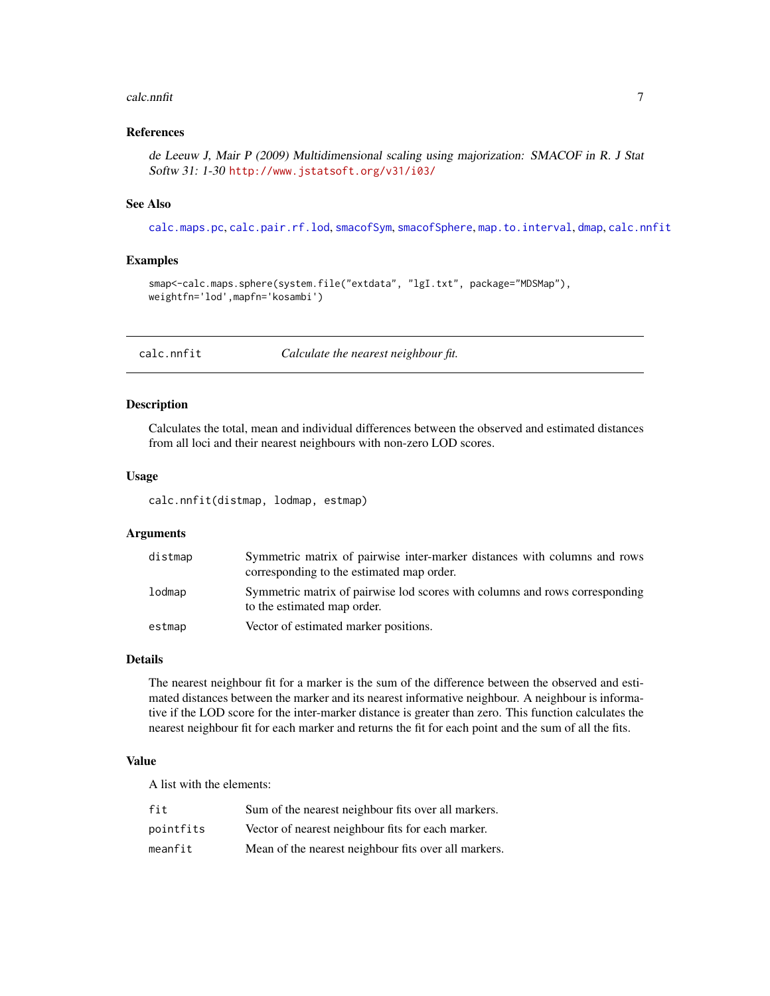#### <span id="page-6-0"></span>calc.nnfit 7

# References

de Leeuw J, Mair P (2009) Multidimensional scaling using majorization: SMACOF in R. J Stat Softw 31: 1-30 <http://www.jstatsoft.org/v31/i03/>

# See Also

[calc.maps.pc](#page-2-1), [calc.pair.rf.lod](#page-11-1), [smacofSym](#page-0-0), [smacofSphere](#page-0-0), [map.to.interval](#page-21-1), [dmap](#page-13-1), [calc.nnfit](#page-6-1)

# Examples

```
smap<-calc.maps.sphere(system.file("extdata", "lgI.txt", package="MDSMap"),
weightfn='lod',mapfn='kosambi')
```
<span id="page-6-1"></span>calc.nnfit *Calculate the nearest neighbour fit.*

# Description

Calculates the total, mean and individual differences between the observed and estimated distances from all loci and their nearest neighbours with non-zero LOD scores.

### Usage

calc.nnfit(distmap, lodmap, estmap)

# Arguments

| distmap | Symmetric matrix of pairwise inter-marker distances with columns and rows<br>corresponding to the estimated map order. |
|---------|------------------------------------------------------------------------------------------------------------------------|
| lodmap  | Symmetric matrix of pairwise lod scores with columns and rows corresponding<br>to the estimated map order.             |
| estmap  | Vector of estimated marker positions.                                                                                  |

# Details

The nearest neighbour fit for a marker is the sum of the difference between the observed and estimated distances between the marker and its nearest informative neighbour. A neighbour is informative if the LOD score for the inter-marker distance is greater than zero. This function calculates the nearest neighbour fit for each marker and returns the fit for each point and the sum of all the fits.

# Value

A list with the elements:

| fit       | Sum of the nearest neighbour fits over all markers.  |
|-----------|------------------------------------------------------|
| pointfits | Vector of nearest neighbour fits for each marker.    |
| meanfit   | Mean of the nearest neighbour fits over all markers. |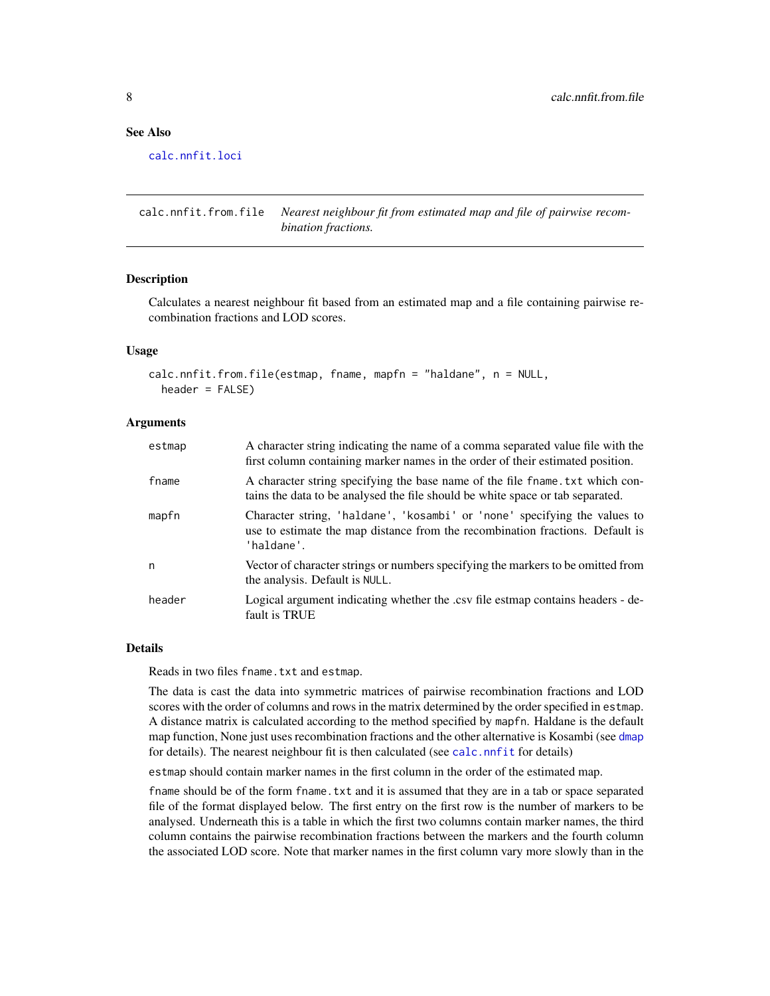# <span id="page-7-0"></span>See Also

[calc.nnfit.loci](#page-9-1)

calc.nnfit.from.file *Nearest neighbour fit from estimated map and file of pairwise recombination fractions.*

#### **Description**

Calculates a nearest neighbour fit based from an estimated map and a file containing pairwise recombination fractions and LOD scores.

# Usage

```
calc.nnfit.from.file(estmap, fname, mapfn = "haldane", n = NULL,
  header = FALSE)
```
# Arguments

| estmap | A character string indicating the name of a comma separated value file with the<br>first column containing marker names in the order of their estimated position.        |
|--------|--------------------------------------------------------------------------------------------------------------------------------------------------------------------------|
| fname  | A character string specifying the base name of the file frame. txt which con-<br>tains the data to be analysed the file should be white space or tab separated.          |
| mapfn  | Character string, 'haldane', 'kosambi' or 'none' specifying the values to<br>use to estimate the map distance from the recombination fractions. Default is<br>'haldane'. |
| n      | Vector of character strings or numbers specifying the markers to be omitted from<br>the analysis. Default is NULL.                                                       |
| header | Logical argument indicating whether the .csv file estmap contains headers - de-<br>fault is TRUE                                                                         |

#### Details

Reads in two files fname.txt and estmap.

The data is cast the data into symmetric matrices of pairwise recombination fractions and LOD scores with the order of columns and rows in the matrix determined by the order specified in estmap. A distance matrix is calculated according to the method specified by mapfn. Haldane is the default map function, None just uses recombination fractions and the other alternative is Kosambi (see [dmap](#page-13-1) for details). The nearest neighbour fit is then calculated (see [calc.nnfit](#page-6-1) for details)

estmap should contain marker names in the first column in the order of the estimated map.

fname should be of the form fname.txt and it is assumed that they are in a tab or space separated file of the format displayed below. The first entry on the first row is the number of markers to be analysed. Underneath this is a table in which the first two columns contain marker names, the third column contains the pairwise recombination fractions between the markers and the fourth column the associated LOD score. Note that marker names in the first column vary more slowly than in the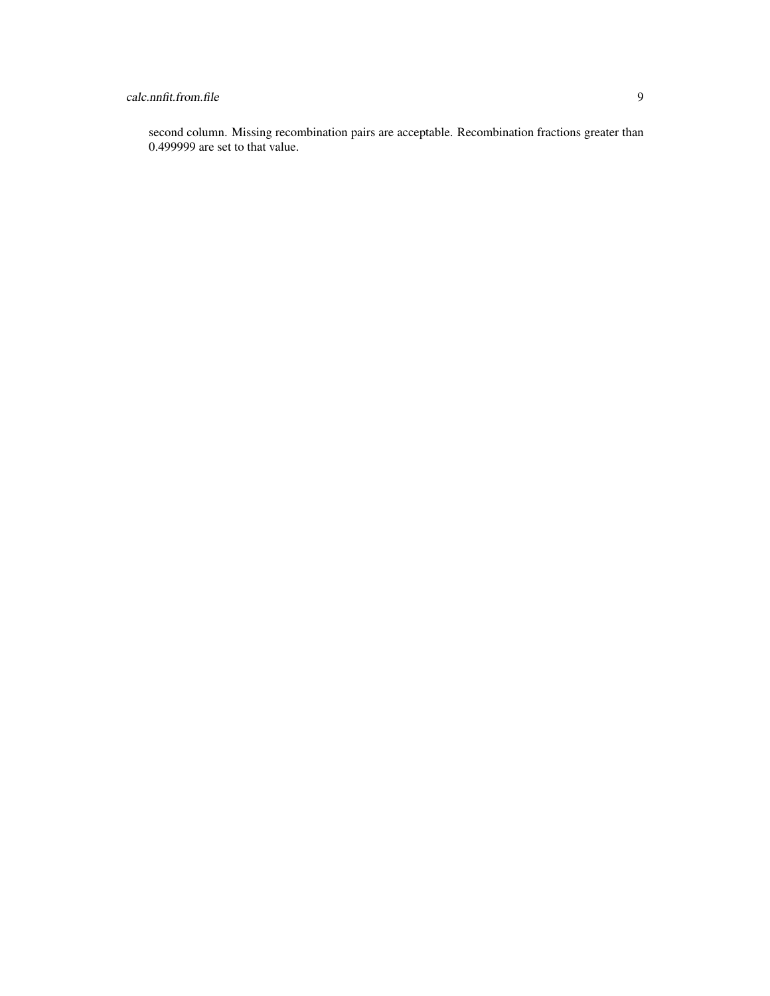# calc.nnfit.from.file 9

second column. Missing recombination pairs are acceptable. Recombination fractions greater than 0.499999 are set to that value.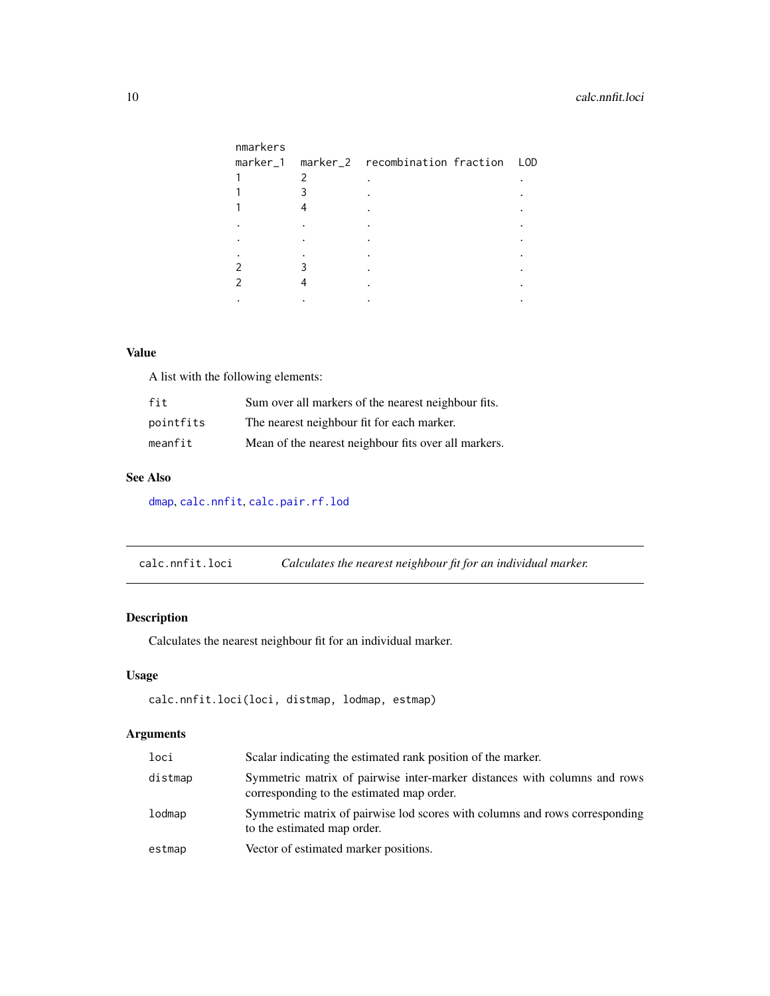<span id="page-9-0"></span>

| nmarkers |                                              |  |
|----------|----------------------------------------------|--|
|          | marker_1 marker_2 recombination fraction LOD |  |
|          |                                              |  |
|          |                                              |  |
|          |                                              |  |
|          |                                              |  |
|          |                                              |  |
|          |                                              |  |
|          |                                              |  |
|          |                                              |  |
|          |                                              |  |

# Value

A list with the following elements:

| fit       | Sum over all markers of the nearest neighbour fits.  |
|-----------|------------------------------------------------------|
| pointfits | The nearest neighbour fit for each marker.           |
| meanfit   | Mean of the nearest neighbour fits over all markers. |

# See Also

[dmap](#page-13-1), [calc.nnfit](#page-6-1), [calc.pair.rf.lod](#page-11-1)

<span id="page-9-1"></span>calc.nnfit.loci *Calculates the nearest neighbour fit for an individual marker.*

# Description

Calculates the nearest neighbour fit for an individual marker.

# Usage

```
calc.nnfit.loci(loci, distmap, lodmap, estmap)
```
# Arguments

| loci    | Scalar indicating the estimated rank position of the marker.                                                           |
|---------|------------------------------------------------------------------------------------------------------------------------|
| distmap | Symmetric matrix of pairwise inter-marker distances with columns and rows<br>corresponding to the estimated map order. |
| lodmap  | Symmetric matrix of pairwise lod scores with columns and rows corresponding<br>to the estimated map order.             |
| estmap  | Vector of estimated marker positions.                                                                                  |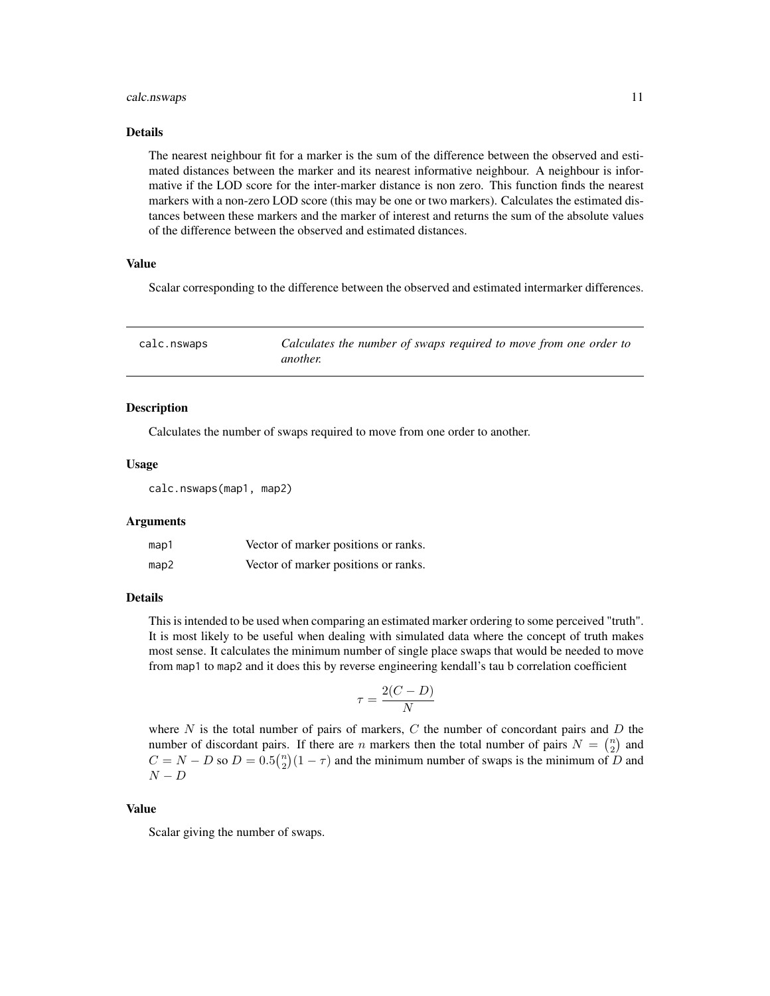#### <span id="page-10-0"></span>calc.nswaps 11

#### Details

The nearest neighbour fit for a marker is the sum of the difference between the observed and estimated distances between the marker and its nearest informative neighbour. A neighbour is informative if the LOD score for the inter-marker distance is non zero. This function finds the nearest markers with a non-zero LOD score (this may be one or two markers). Calculates the estimated distances between these markers and the marker of interest and returns the sum of the absolute values of the difference between the observed and estimated distances.

# Value

Scalar corresponding to the difference between the observed and estimated intermarker differences.

| calc.nswaps | Calculates the number of swaps required to move from one order to |
|-------------|-------------------------------------------------------------------|
|             | <i>another.</i>                                                   |

# **Description**

Calculates the number of swaps required to move from one order to another.

#### Usage

calc.nswaps(map1, map2)

#### Arguments

| map1 | Vector of marker positions or ranks. |
|------|--------------------------------------|
| map2 | Vector of marker positions or ranks. |

#### Details

This is intended to be used when comparing an estimated marker ordering to some perceived "truth". It is most likely to be useful when dealing with simulated data where the concept of truth makes most sense. It calculates the minimum number of single place swaps that would be needed to move from map1 to map2 and it does this by reverse engineering kendall's tau b correlation coefficient

$$
\tau = \frac{2(C - D)}{N}
$$

where  $N$  is the total number of pairs of markers,  $C$  the number of concordant pairs and  $D$  the number of discordant pairs. If there are *n* markers then the total number of pairs  $N = \binom{n}{2}$  and  $C = N - D$  so  $D = 0.5\binom{n}{2}(1 - \tau)$  and the minimum number of swaps is the minimum of D and  $N - D$ 

#### Value

Scalar giving the number of swaps.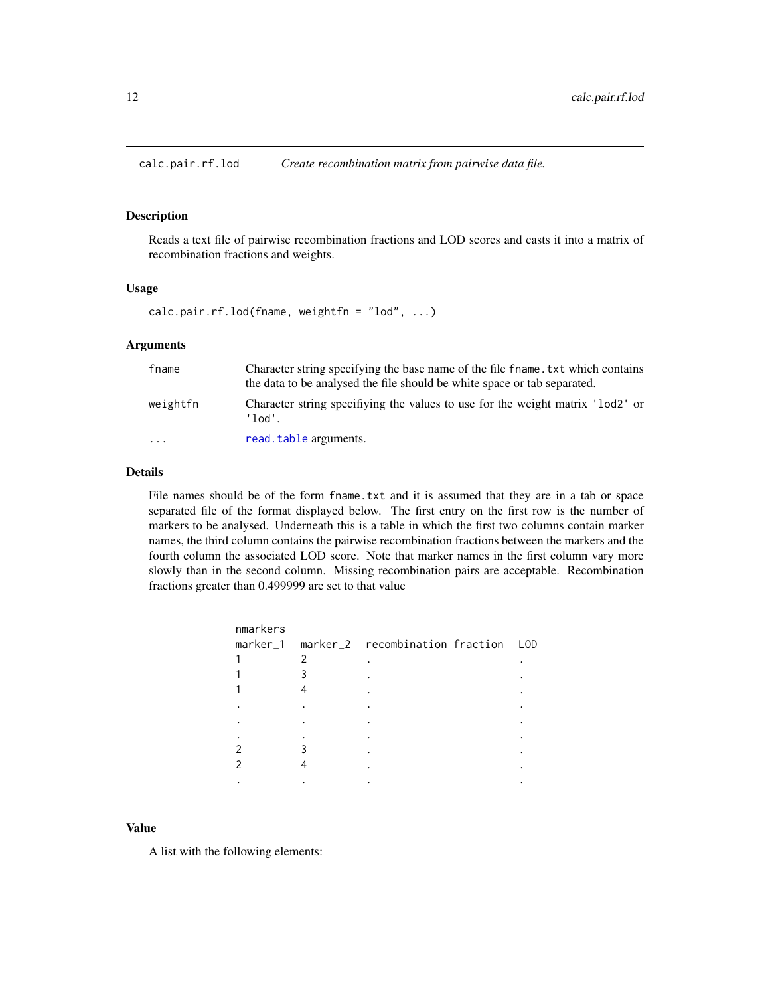<span id="page-11-1"></span><span id="page-11-0"></span>

Reads a text file of pairwise recombination fractions and LOD scores and casts it into a matrix of recombination fractions and weights.

#### Usage

calc.pair.rf.lod(fname, weightfn = "lod", ...)

# Arguments

| fname             | Character string specifying the base name of the file fname. txt which contains<br>the data to be analysed the file should be white space or tab separated. |  |
|-------------------|-------------------------------------------------------------------------------------------------------------------------------------------------------------|--|
| weightfn          | Character string specifiying the values to use for the weight matrix 'lod2' or<br>'lod'                                                                     |  |
| $\cdot\cdot\cdot$ | read.table arguments.                                                                                                                                       |  |

# Details

File names should be of the form fname.txt and it is assumed that they are in a tab or space separated file of the format displayed below. The first entry on the first row is the number of markers to be analysed. Underneath this is a table in which the first two columns contain marker names, the third column contains the pairwise recombination fractions between the markers and the fourth column the associated LOD score. Note that marker names in the first column vary more slowly than in the second column. Missing recombination pairs are acceptable. Recombination fractions greater than 0.499999 are set to that value

| nmarkers |                                              |  |
|----------|----------------------------------------------|--|
|          | marker_1 marker_2 recombination fraction LOD |  |
|          |                                              |  |
|          |                                              |  |
|          |                                              |  |
|          |                                              |  |
|          |                                              |  |
|          |                                              |  |
|          |                                              |  |
|          |                                              |  |
|          |                                              |  |
|          |                                              |  |

### Value

A list with the following elements: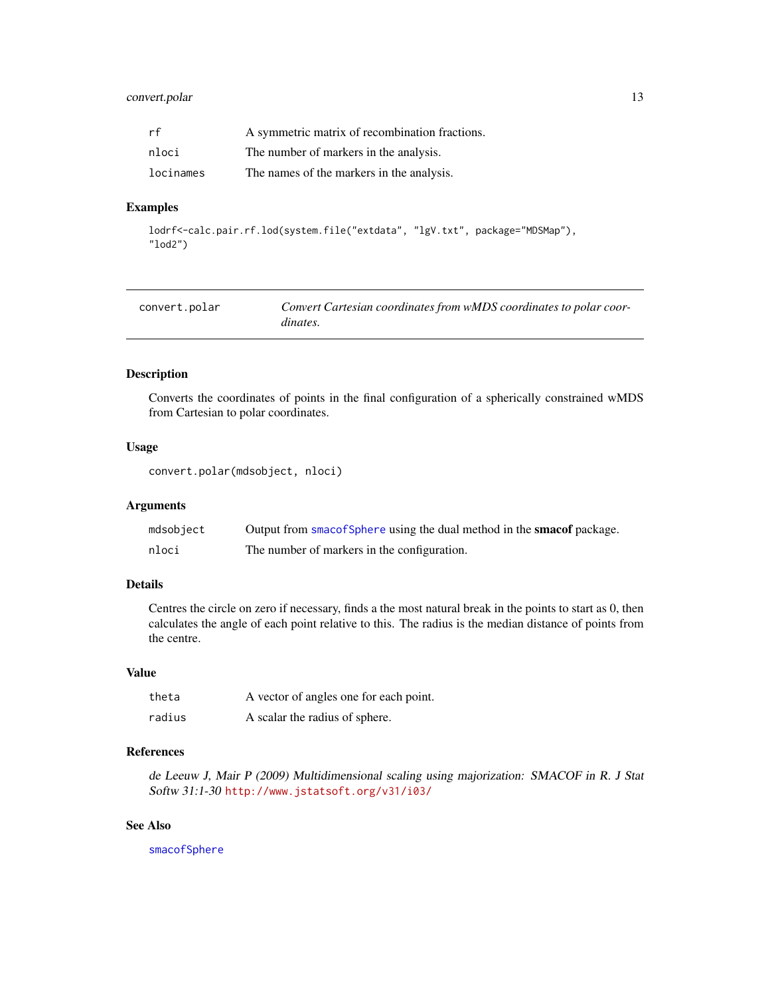# <span id="page-12-0"></span>convert.polar 13

| rf        | A symmetric matrix of recombination fractions. |
|-----------|------------------------------------------------|
| nloci     | The number of markers in the analysis.         |
| locinames | The names of the markers in the analysis.      |

# Examples

```
lodrf<-calc.pair.rf.lod(system.file("extdata", "lgV.txt", package="MDSMap"),
"lod2")
```
<span id="page-12-1"></span>

| convert.polar | Convert Cartesian coordinates from wMDS coordinates to polar coor- |
|---------------|--------------------------------------------------------------------|
|               | dinates.                                                           |

# Description

Converts the coordinates of points in the final configuration of a spherically constrained wMDS from Cartesian to polar coordinates.

#### Usage

```
convert.polar(mdsobject, nloci)
```
# Arguments

| mdsobject | Output from smacof Sphere using the dual method in the smacof package. |
|-----------|------------------------------------------------------------------------|
| nloci     | The number of markers in the configuration.                            |

# Details

Centres the circle on zero if necessary, finds a the most natural break in the points to start as 0, then calculates the angle of each point relative to this. The radius is the median distance of points from the centre.

#### Value

| theta  | A vector of angles one for each point. |
|--------|----------------------------------------|
| radius | A scalar the radius of sphere.         |

# References

de Leeuw J, Mair P (2009) Multidimensional scaling using majorization: SMACOF in R. J Stat Softw 31:1-30 <http://www.jstatsoft.org/v31/i03/>

# See Also

[smacofSphere](#page-0-0)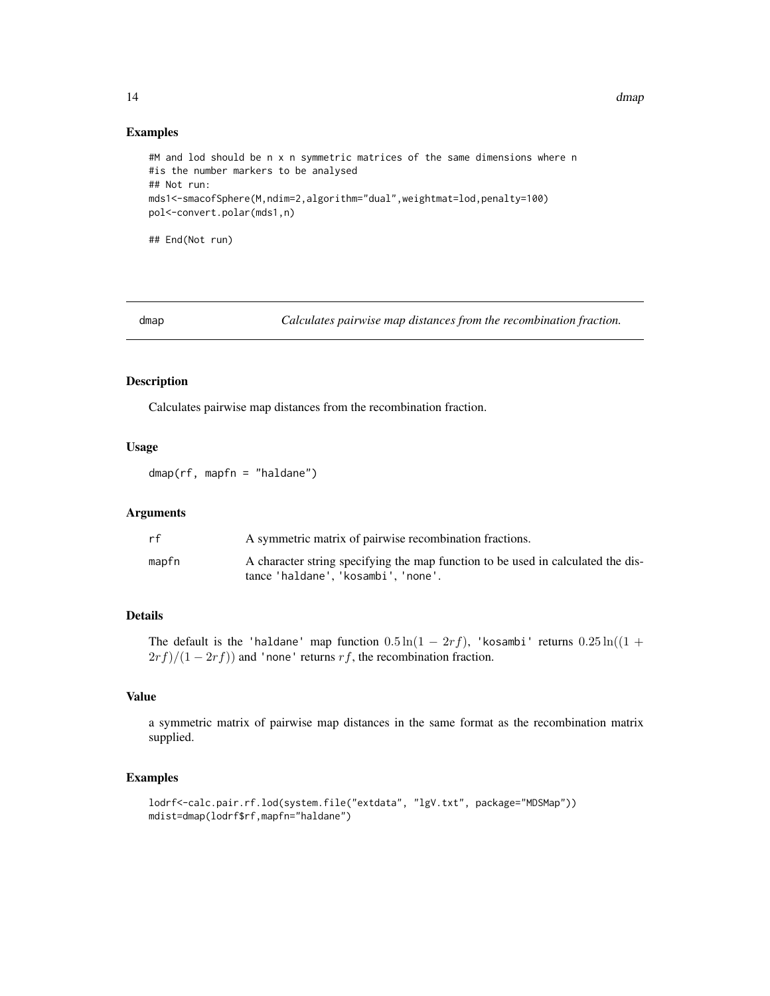#### Examples

```
#M and lod should be n x n symmetric matrices of the same dimensions where n
#is the number markers to be analysed
## Not run:
mds1<-smacofSphere(M,ndim=2,algorithm="dual",weightmat=lod,penalty=100)
pol<-convert.polar(mds1,n)
```
## End(Not run)

<span id="page-13-1"></span>dmap *Calculates pairwise map distances from the recombination fraction.*

# Description

Calculates pairwise map distances from the recombination fraction.

# Usage

dmap(rf, mapfn = "haldane")

# Arguments

| rf    | A symmetric matrix of pairwise recombination fractions.                                                                 |
|-------|-------------------------------------------------------------------------------------------------------------------------|
| mapfn | A character string specifying the map function to be used in calculated the dis-<br>tance 'haldane', 'kosambi', 'none'. |

# Details

The default is the 'haldane' map function  $0.5 \ln(1 - 2rf)$ , 'kosambi' returns  $0.25 \ln((1 +$  $2rf)/(1-2rf)$  and 'none' returns rf, the recombination fraction.

# Value

a symmetric matrix of pairwise map distances in the same format as the recombination matrix supplied.

# Examples

```
lodrf<-calc.pair.rf.lod(system.file("extdata", "lgV.txt", package="MDSMap"))
mdist=dmap(lodrf$rf,mapfn="haldane")
```
<span id="page-13-0"></span>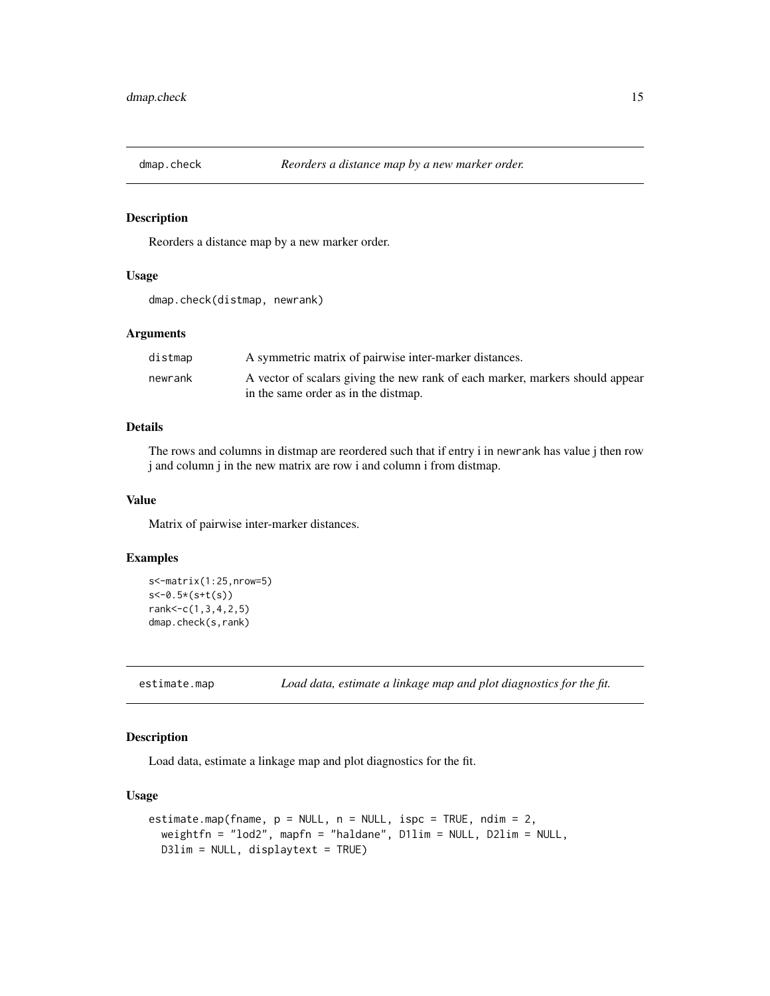<span id="page-14-0"></span>

Reorders a distance map by a new marker order.

# Usage

```
dmap.check(distmap, newrank)
```
# Arguments

| distmap | A symmetric matrix of pairwise inter-marker distances.                        |
|---------|-------------------------------------------------------------------------------|
| newrank | A vector of scalars giving the new rank of each marker, markers should appear |
|         | in the same order as in the distmap.                                          |

# Details

The rows and columns in distmap are reordered such that if entry i in newrank has value j then row j and column j in the new matrix are row i and column i from distmap.

#### Value

Matrix of pairwise inter-marker distances.

# Examples

```
s<-matrix(1:25,nrow=5)
s<-0.5*(s+t(s))
rank<-c(1,3,4,2,5)
dmap.check(s,rank)
```
<span id="page-14-1"></span>estimate.map *Load data, estimate a linkage map and plot diagnostics for the fit.*

# Description

Load data, estimate a linkage map and plot diagnostics for the fit.

# Usage

```
estimate.map(fname, p = NULL, n = NULL, ispc = TRUE, ndim = 2,
  weightfn = "lod2", mapfn = "haldane", D1lim = NULL, D2lim = NULL,
 D3lim = NULL, displaytext = TRUE)
```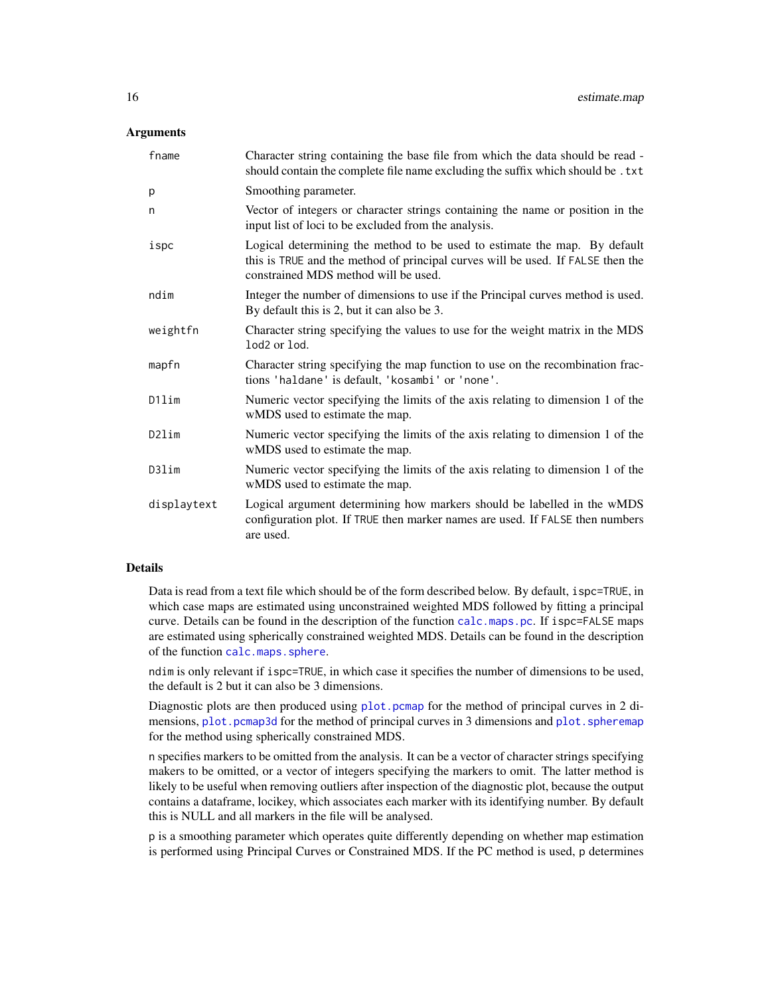# <span id="page-15-0"></span>**Arguments**

| fname       | Character string containing the base file from which the data should be read -<br>should contain the complete file name excluding the suffix which should be. txt                                    |
|-------------|------------------------------------------------------------------------------------------------------------------------------------------------------------------------------------------------------|
| p           | Smoothing parameter.                                                                                                                                                                                 |
| n           | Vector of integers or character strings containing the name or position in the<br>input list of loci to be excluded from the analysis.                                                               |
| ispc        | Logical determining the method to be used to estimate the map. By default<br>this is TRUE and the method of principal curves will be used. If FALSE then the<br>constrained MDS method will be used. |
| ndim        | Integer the number of dimensions to use if the Principal curves method is used.<br>By default this is 2, but it can also be 3.                                                                       |
| weightfn    | Character string specifying the values to use for the weight matrix in the MDS<br>lod <sub>2</sub> or lod.                                                                                           |
| mapfn       | Character string specifying the map function to use on the recombination frac-<br>tions 'haldane' is default, 'kosambi' or 'none'.                                                                   |
| D1lim       | Numeric vector specifying the limits of the axis relating to dimension 1 of the<br>wMDS used to estimate the map.                                                                                    |
| D2lim       | Numeric vector specifying the limits of the axis relating to dimension 1 of the<br>wMDS used to estimate the map.                                                                                    |
| D3lim       | Numeric vector specifying the limits of the axis relating to dimension 1 of the<br>wMDS used to estimate the map.                                                                                    |
| displaytext | Logical argument determining how markers should be labelled in the wMDS<br>configuration plot. If TRUE then marker names are used. If FALSE then numbers<br>are used.                                |

# Details

Data is read from a text file which should be of the form described below. By default, ispc=TRUE, in which case maps are estimated using unconstrained weighted MDS followed by fitting a principal curve. Details can be found in the description of the function [calc.maps.pc](#page-2-1). If ispc=FALSE maps are estimated using spherically constrained weighted MDS. Details can be found in the description of the function [calc.maps.sphere](#page-4-1).

ndim is only relevant if ispc=TRUE, in which case it specifies the number of dimensions to be used, the default is 2 but it can also be 3 dimensions.

Diagnostic plots are then produced using [plot.pcmap](#page-23-1) for the method of principal curves in 2 dimensions, [plot.pcmap3d](#page-24-1) for the method of principal curves in 3 dimensions and [plot.spheremap](#page-25-1) for the method using spherically constrained MDS.

n specifies markers to be omitted from the analysis. It can be a vector of character strings specifying makers to be omitted, or a vector of integers specifying the markers to omit. The latter method is likely to be useful when removing outliers after inspection of the diagnostic plot, because the output contains a dataframe, locikey, which associates each marker with its identifying number. By default this is NULL and all markers in the file will be analysed.

p is a smoothing parameter which operates quite differently depending on whether map estimation is performed using Principal Curves or Constrained MDS. If the PC method is used, p determines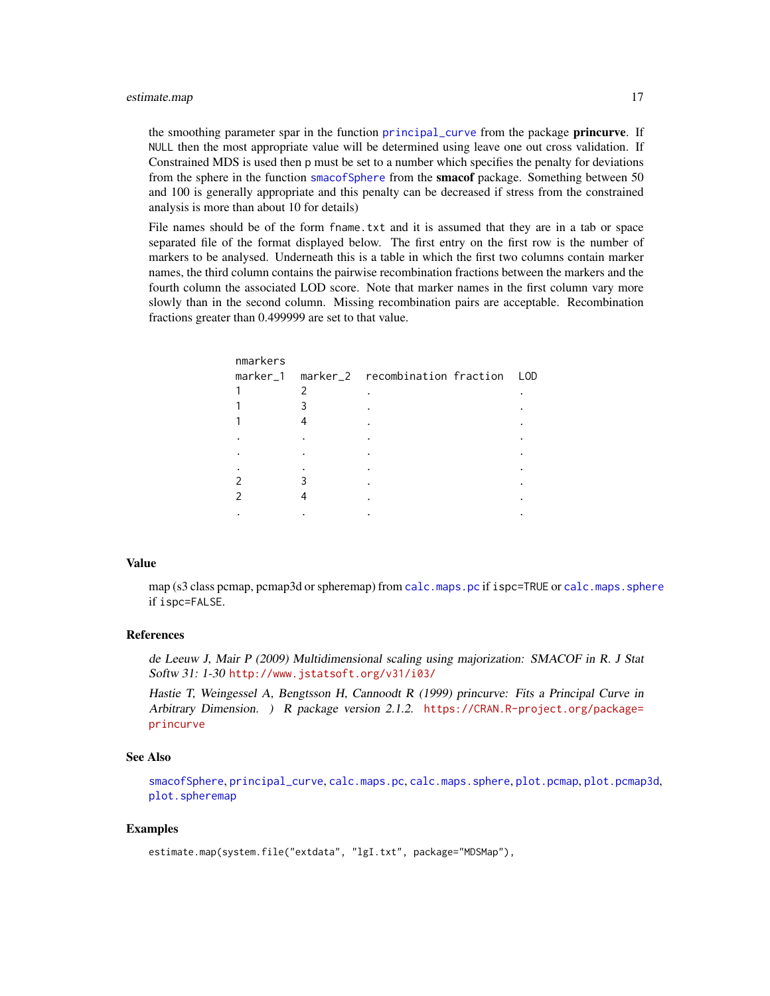<span id="page-16-0"></span>the smoothing parameter spar in the function [principal\\_curve](#page-0-0) from the package **princurve**. If NULL then the most appropriate value will be determined using leave one out cross validation. If Constrained MDS is used then p must be set to a number which specifies the penalty for deviations from the sphere in the function [smacofSphere](#page-0-0) from the **smacof** package. Something between 50 and 100 is generally appropriate and this penalty can be decreased if stress from the constrained analysis is more than about 10 for details)

File names should be of the form fname.txt and it is assumed that they are in a tab or space separated file of the format displayed below. The first entry on the first row is the number of markers to be analysed. Underneath this is a table in which the first two columns contain marker names, the third column contains the pairwise recombination fractions between the markers and the fourth column the associated LOD score. Note that marker names in the first column vary more slowly than in the second column. Missing recombination pairs are acceptable. Recombination fractions greater than 0.499999 are set to that value.

| nmarkers |                                              |  |
|----------|----------------------------------------------|--|
|          | marker_1 marker_2 recombination fraction LOD |  |
|          |                                              |  |
|          |                                              |  |
|          |                                              |  |
|          |                                              |  |
|          |                                              |  |
|          |                                              |  |
|          |                                              |  |
|          |                                              |  |
|          |                                              |  |
|          |                                              |  |

#### Value

map (s3 class pcmap, pcmap3d or spheremap) from [calc.maps.pc](#page-2-1) if ispc=TRUE or [calc.maps.sphere](#page-4-1) if ispc=FALSE.

# References

de Leeuw J, Mair P (2009) Multidimensional scaling using majorization: SMACOF in R. J Stat Softw 31: 1-30 <http://www.jstatsoft.org/v31/i03/>

Hastie T, Weingessel A, Bengtsson H, Cannoodt R (1999) princurve: Fits a Principal Curve in Arbitrary Dimension. ) R package version 2.1.2. [https://CRAN.R-project.org/package=](https://CRAN.R-project.org/package=princurve) [princurve](https://CRAN.R-project.org/package=princurve)

# See Also

[smacofSphere](#page-0-0), [principal\\_curve](#page-0-0), [calc.maps.pc](#page-2-1), [calc.maps.sphere](#page-4-1), [plot.pcmap](#page-23-1), [plot.pcmap3d](#page-24-1), [plot.spheremap](#page-25-1)

# Examples

```
estimate.map(system.file("extdata", "lgI.txt", package="MDSMap"),
```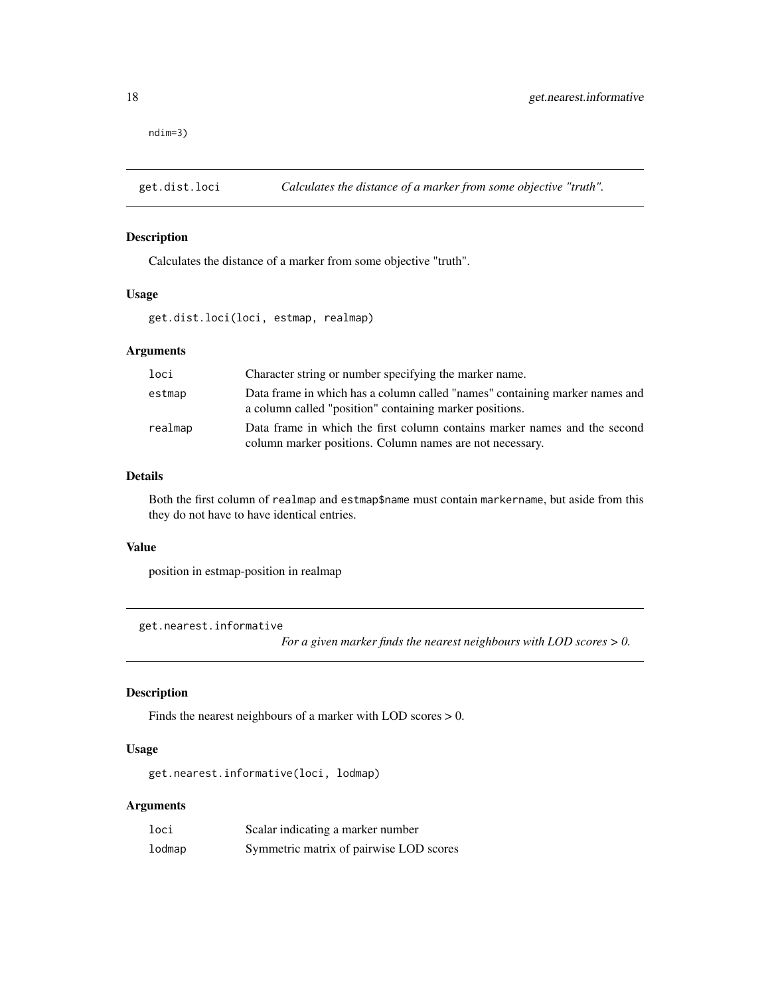<span id="page-17-0"></span>ndim=3)

<span id="page-17-1"></span>

# Description

Calculates the distance of a marker from some objective "truth".

#### Usage

get.dist.loci(loci, estmap, realmap)

# Arguments

| loci    | Character string or number specifying the marker name.                                                                                 |
|---------|----------------------------------------------------------------------------------------------------------------------------------------|
| estmap  | Data frame in which has a column called "names" containing marker names and<br>a column called "position" containing marker positions. |
| realmap | Data frame in which the first column contains marker names and the second<br>column marker positions. Column names are not necessary.  |

# Details

Both the first column of realmap and estmap\$name must contain markername, but aside from this they do not have to have identical entries.

#### Value

position in estmap-position in realmap

get.nearest.informative

*For a given marker finds the nearest neighbours with LOD scores > 0.*

# Description

Finds the nearest neighbours of a marker with LOD scores > 0.

# Usage

get.nearest.informative(loci, lodmap)

# Arguments

| loci   | Scalar indicating a marker number       |
|--------|-----------------------------------------|
| lodmap | Symmetric matrix of pairwise LOD scores |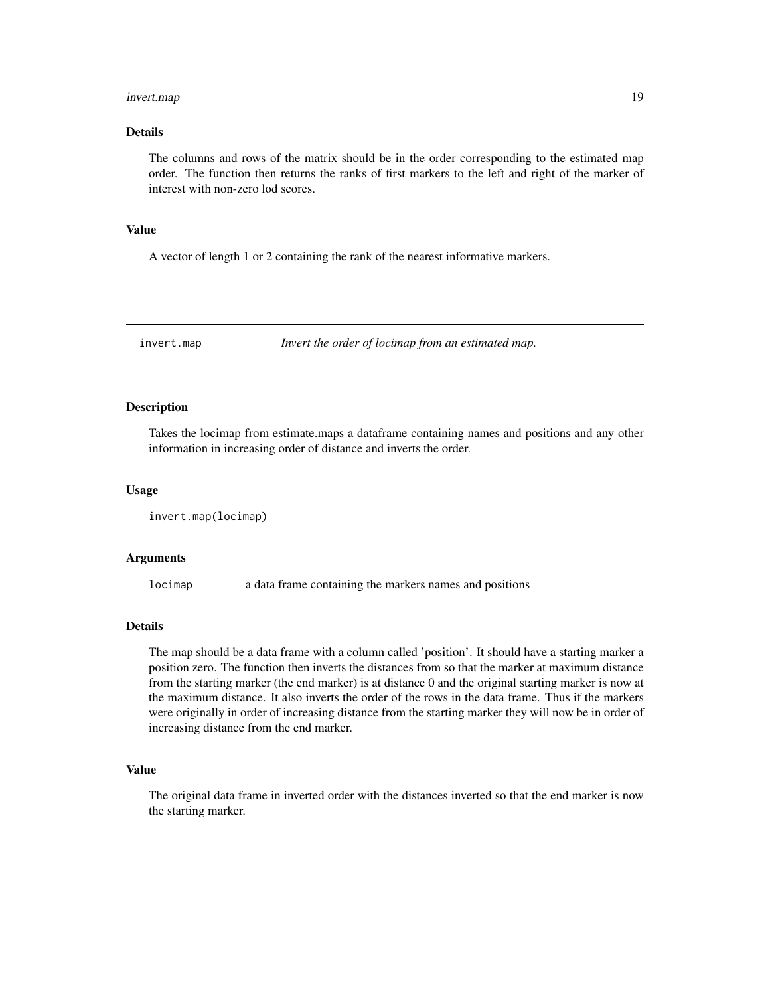#### <span id="page-18-0"></span>invert.map 19

# Details

The columns and rows of the matrix should be in the order corresponding to the estimated map order. The function then returns the ranks of first markers to the left and right of the marker of interest with non-zero lod scores.

# Value

A vector of length 1 or 2 containing the rank of the nearest informative markers.

invert.map *Invert the order of locimap from an estimated map.*

# Description

Takes the locimap from estimate.maps a dataframe containing names and positions and any other information in increasing order of distance and inverts the order.

# Usage

```
invert.map(locimap)
```
# Arguments

locimap a data frame containing the markers names and positions

#### Details

The map should be a data frame with a column called 'position'. It should have a starting marker a position zero. The function then inverts the distances from so that the marker at maximum distance from the starting marker (the end marker) is at distance 0 and the original starting marker is now at the maximum distance. It also inverts the order of the rows in the data frame. Thus if the markers were originally in order of increasing distance from the starting marker they will now be in order of increasing distance from the end marker.

# Value

The original data frame in inverted order with the distances inverted so that the end marker is now the starting marker.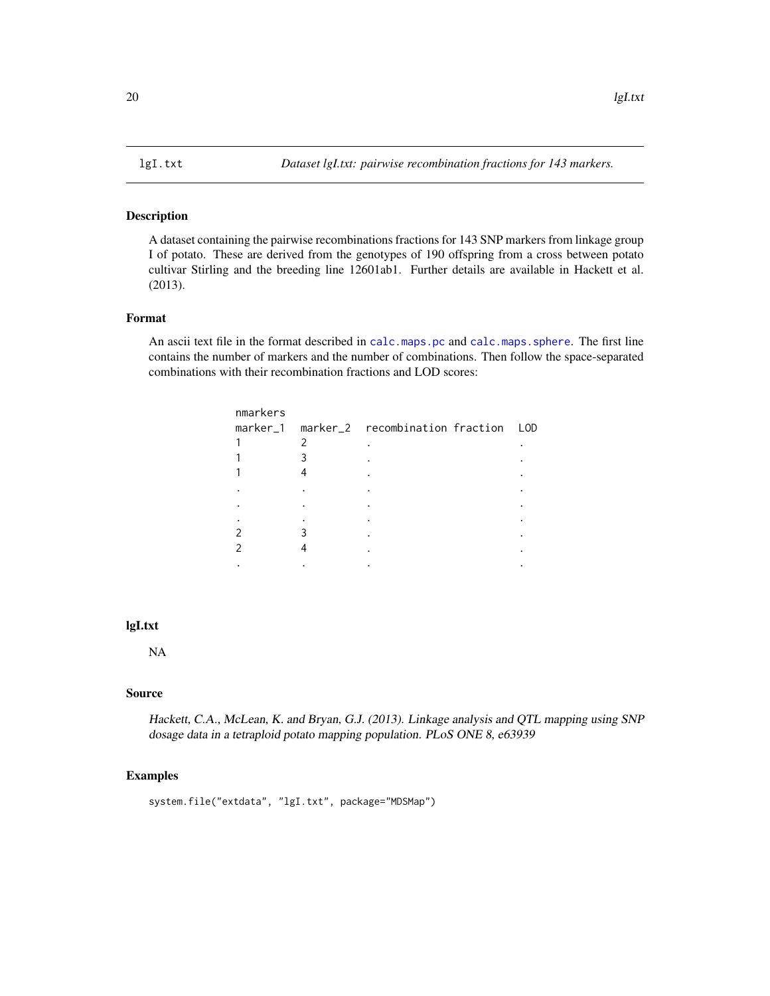<span id="page-19-0"></span>A dataset containing the pairwise recombinations fractions for 143 SNP markers from linkage group I of potato. These are derived from the genotypes of 190 offspring from a cross between potato cultivar Stirling and the breeding line 12601ab1. Further details are available in Hackett et al. (2013).

# Format

An ascii text file in the format described in [calc.maps.pc](#page-2-1) and [calc.maps.sphere](#page-4-1). The first line contains the number of markers and the number of combinations. Then follow the space-separated combinations with their recombination fractions and LOD scores:

|   | LOD                                      |
|---|------------------------------------------|
| 2 |                                          |
| 3 |                                          |
|   |                                          |
|   |                                          |
|   |                                          |
|   |                                          |
|   |                                          |
|   |                                          |
|   |                                          |
|   | marker_1 marker_2 recombination fraction |

# lgI.txt

NA

# Source

Hackett, C.A., McLean, K. and Bryan, G.J. (2013). Linkage analysis and QTL mapping using SNP dosage data in a tetraploid potato mapping population. PLoS ONE 8, e63939

#### Examples

```
system.file("extdata", "lgI.txt", package="MDSMap")
```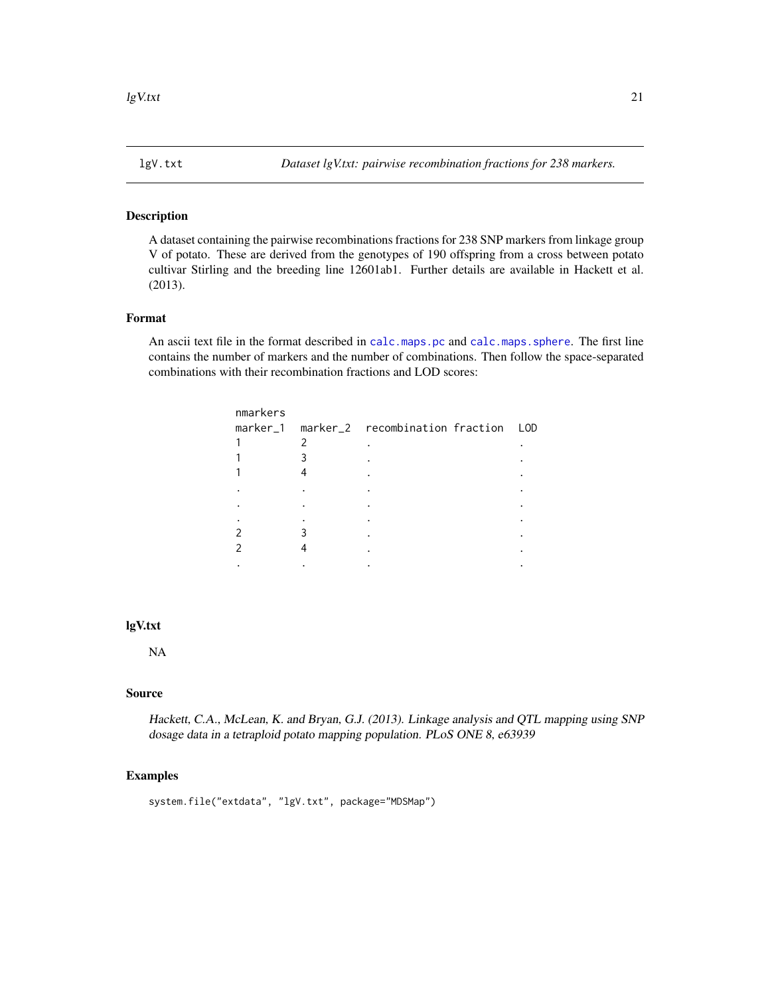<span id="page-20-0"></span>

A dataset containing the pairwise recombinations fractions for 238 SNP markers from linkage group V of potato. These are derived from the genotypes of 190 offspring from a cross between potato cultivar Stirling and the breeding line 12601ab1. Further details are available in Hackett et al. (2013).

# Format

An ascii text file in the format described in [calc.maps.pc](#page-2-1) and [calc.maps.sphere](#page-4-1). The first line contains the number of markers and the number of combinations. Then follow the space-separated combinations with their recombination fractions and LOD scores:

|   | LOD                                      |
|---|------------------------------------------|
| 2 |                                          |
| 3 |                                          |
|   |                                          |
|   |                                          |
|   |                                          |
|   |                                          |
|   |                                          |
|   |                                          |
|   |                                          |
|   | marker_1 marker_2 recombination fraction |

# lgV.txt

NA

# Source

Hackett, C.A., McLean, K. and Bryan, G.J. (2013). Linkage analysis and QTL mapping using SNP dosage data in a tetraploid potato mapping population. PLoS ONE 8, e63939

#### Examples

```
system.file("extdata", "lgV.txt", package="MDSMap")
```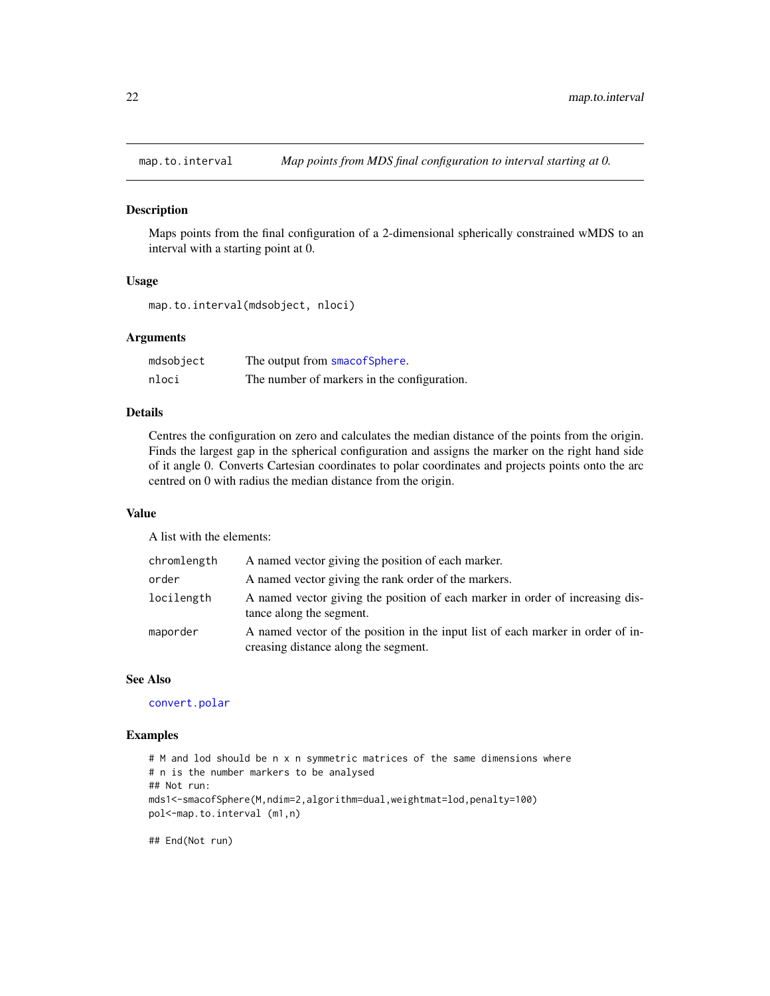<span id="page-21-1"></span><span id="page-21-0"></span>

Maps points from the final configuration of a 2-dimensional spherically constrained wMDS to an interval with a starting point at 0.

#### Usage

```
map.to.interval(mdsobject, nloci)
```
# Arguments

| mdsobject | The output from smacofSphere.               |
|-----------|---------------------------------------------|
| nloci     | The number of markers in the configuration. |

#### Details

Centres the configuration on zero and calculates the median distance of the points from the origin. Finds the largest gap in the spherical configuration and assigns the marker on the right hand side of it angle 0. Converts Cartesian coordinates to polar coordinates and projects points onto the arc centred on 0 with radius the median distance from the origin.

#### Value

A list with the elements:

| chromlength | A named vector giving the position of each marker.                                                                      |
|-------------|-------------------------------------------------------------------------------------------------------------------------|
| order       | A named vector giving the rank order of the markers.                                                                    |
| locilength  | A named vector giving the position of each marker in order of increasing dis-<br>tance along the segment.               |
| maporder    | A named vector of the position in the input list of each marker in order of in-<br>creasing distance along the segment. |

#### See Also

[convert.polar](#page-12-1)

# Examples

```
# M and lod should be n x n symmetric matrices of the same dimensions where
# n is the number markers to be analysed
## Not run:
mds1<-smacofSphere(M,ndim=2,algorithm=dual,weightmat=lod,penalty=100)
pol<-map.to.interval (m1,n)
```
## End(Not run)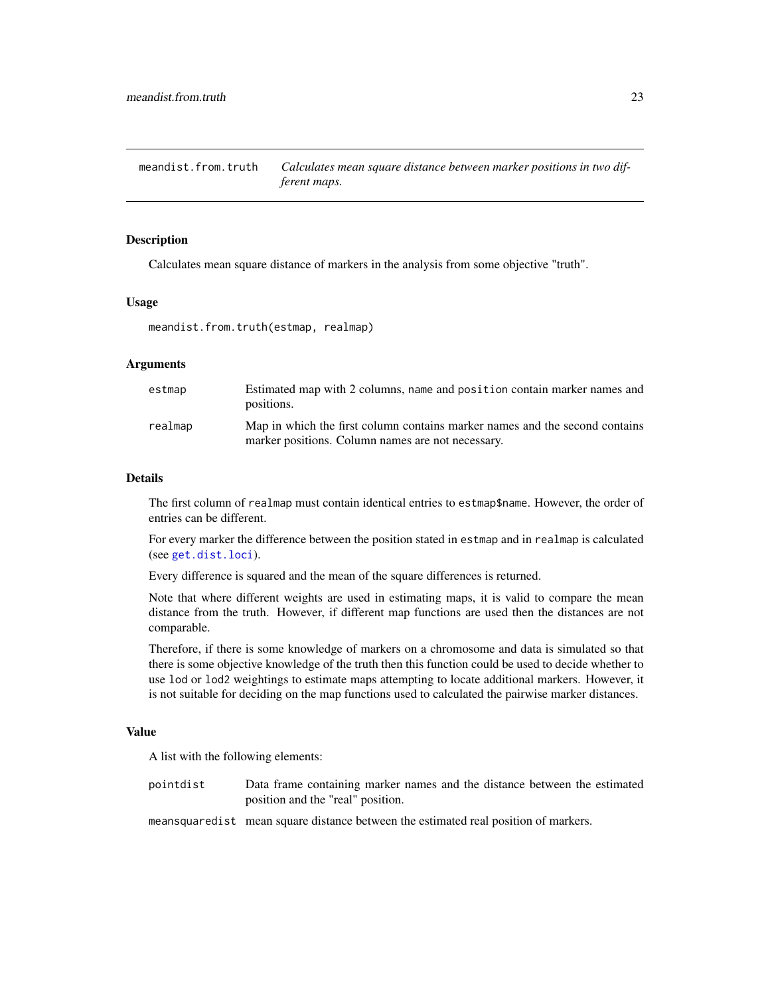<span id="page-22-0"></span>meandist.from.truth *Calculates mean square distance between marker positions in two different maps.*

# Description

Calculates mean square distance of markers in the analysis from some objective "truth".

#### Usage

meandist.from.truth(estmap, realmap)

# Arguments

| estmap  | Estimated map with 2 columns, name and position contain marker names and<br>positions.                                           |
|---------|----------------------------------------------------------------------------------------------------------------------------------|
| realmap | Map in which the first column contains marker names and the second contains<br>marker positions. Column names are not necessary. |

# Details

The first column of realmap must contain identical entries to estmap\$name. However, the order of entries can be different.

For every marker the difference between the position stated in estmap and in realmap is calculated (see [get.dist.loci](#page-17-1)).

Every difference is squared and the mean of the square differences is returned.

Note that where different weights are used in estimating maps, it is valid to compare the mean distance from the truth. However, if different map functions are used then the distances are not comparable.

Therefore, if there is some knowledge of markers on a chromosome and data is simulated so that there is some objective knowledge of the truth then this function could be used to decide whether to use lod or lod2 weightings to estimate maps attempting to locate additional markers. However, it is not suitable for deciding on the map functions used to calculated the pairwise marker distances.

# Value

A list with the following elements:

| pointdist | Data frame containing marker names and the distance between the estimated |  |  |  |
|-----------|---------------------------------------------------------------------------|--|--|--|
|           | position and the "real" position.                                         |  |  |  |

meansquaredist mean square distance between the estimated real position of markers.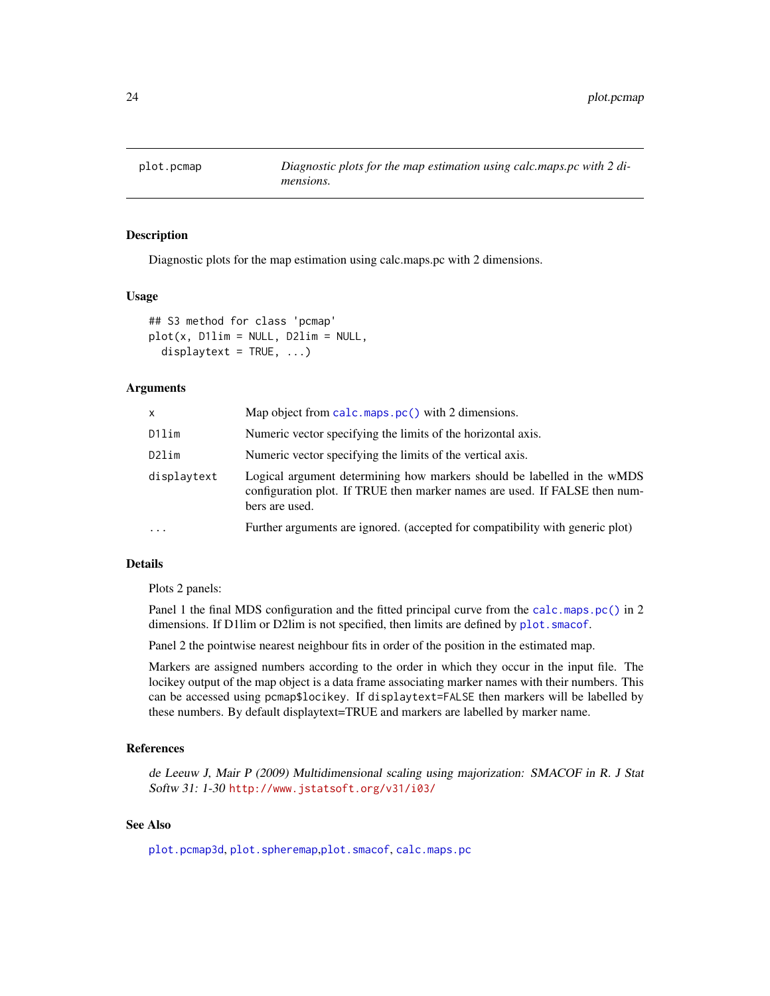<span id="page-23-1"></span><span id="page-23-0"></span>

Diagnostic plots for the map estimation using calc.maps.pc with 2 dimensions.

#### Usage

```
## S3 method for class 'pcmap'
plot(x, D1lim = NULL, D2lim = NULL,displaytext = TRUE, ...)
```
#### Arguments

| <b>X</b>    | Map object from calc.maps.pc() with 2 dimensions.                                                                                                                       |
|-------------|-------------------------------------------------------------------------------------------------------------------------------------------------------------------------|
| D1lim       | Numeric vector specifying the limits of the horizontal axis.                                                                                                            |
| D2lim       | Numeric vector specifying the limits of the vertical axis.                                                                                                              |
| displaytext | Logical argument determining how markers should be labelled in the wMDS<br>configuration plot. If TRUE then marker names are used. If FALSE then num-<br>bers are used. |
| $\cdots$    | Further arguments are ignored. (accepted for compatibility with generic plot)                                                                                           |

# Details

Plots 2 panels:

Panel 1 the final MDS configuration and the fitted principal curve from the [calc.maps.pc\(\)](#page-2-1) in 2 dimensions. If D1lim or D2lim is not specified, then limits are defined by plot. smacof.

Panel 2 the pointwise nearest neighbour fits in order of the position in the estimated map.

Markers are assigned numbers according to the order in which they occur in the input file. The locikey output of the map object is a data frame associating marker names with their numbers. This can be accessed using pcmap\$locikey. If displaytext=FALSE then markers will be labelled by these numbers. By default displaytext=TRUE and markers are labelled by marker name.

# References

de Leeuw J, Mair P (2009) Multidimensional scaling using majorization: SMACOF in R. J Stat Softw 31: 1-30 <http://www.jstatsoft.org/v31/i03/>

# See Also

[plot.pcmap3d](#page-24-1), [plot.spheremap](#page-25-1),[plot.smacof](#page-0-0), [calc.maps.pc](#page-2-1)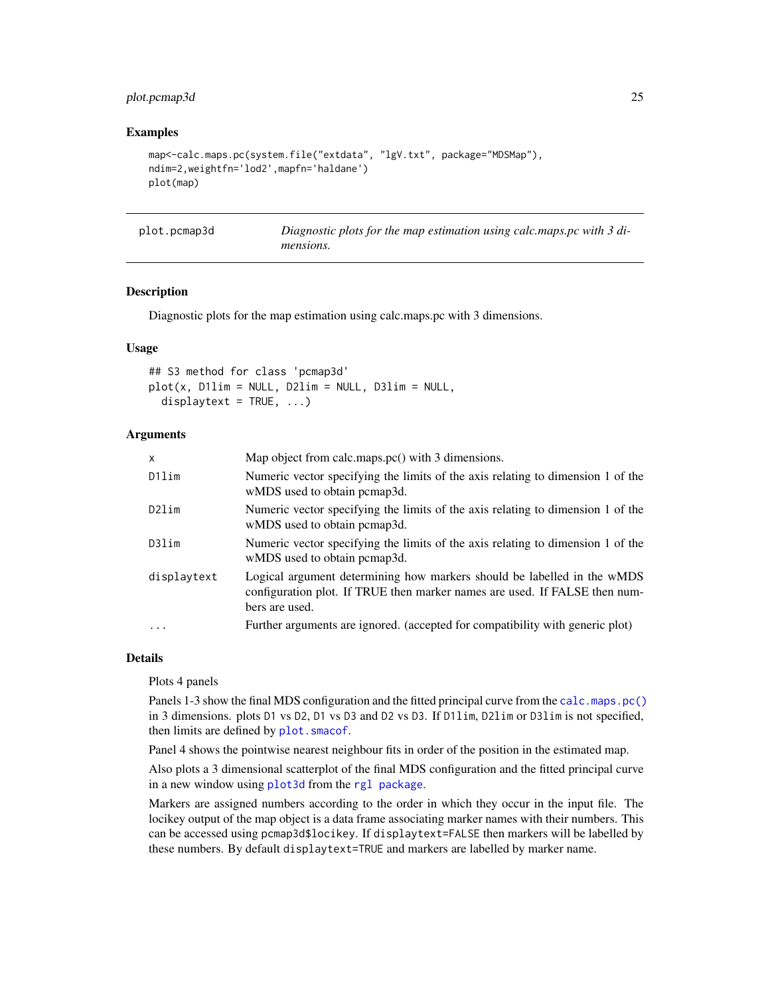# <span id="page-24-0"></span>plot.pcmap3d 25

# Examples

```
map<-calc.maps.pc(system.file("extdata", "lgV.txt", package="MDSMap"),
ndim=2,weightfn='lod2',mapfn='haldane')
plot(map)
```
<span id="page-24-1"></span>

| plot.pcmap3d | Diagnostic plots for the map estimation using calc.maps.pc with 3 di- |
|--------------|-----------------------------------------------------------------------|
|              | mensions.                                                             |

#### **Description**

Diagnostic plots for the map estimation using calc.maps.pc with 3 dimensions.

#### Usage

## S3 method for class 'pcmap3d'  $plot(x, D1lim = NULL, D2lim = NULL, D3lim = NULL,$ displaytext =  $TRUE$ , ...)

# Arguments

| x           | Map object from calc.maps.pc() with 3 dimensions.                                                                                                                       |
|-------------|-------------------------------------------------------------------------------------------------------------------------------------------------------------------------|
| D1lim       | Numeric vector specifying the limits of the axis relating to dimension 1 of the<br>wMDS used to obtain pcmap3d.                                                         |
| D2lim       | Numeric vector specifying the limits of the axis relating to dimension 1 of the<br>wMDS used to obtain pcmap3d.                                                         |
| D3lim       | Numeric vector specifying the limits of the axis relating to dimension 1 of the<br>wMDS used to obtain pcmap3d.                                                         |
| displaytext | Logical argument determining how markers should be labelled in the wMDS<br>configuration plot. If TRUE then marker names are used. If FALSE then num-<br>bers are used. |
| $\cdots$    | Further arguments are ignored. (accepted for compatibility with generic plot)                                                                                           |
|             |                                                                                                                                                                         |

# Details

Plots 4 panels

Panels 1-3 show the final MDS configuration and the fitted principal curve from the [calc.maps.pc\(\)](#page-2-1) in 3 dimensions. plots D1 vs D2, D1 vs D3 and D2 vs D3. If D1lim, D2lim or D3lim is not specified, then limits are defined by [plot.smacof](#page-0-0).

Panel 4 shows the pointwise nearest neighbour fits in order of the position in the estimated map.

Also plots a 3 dimensional scatterplot of the final MDS configuration and the fitted principal curve in a new window using [plot3d](#page-0-0) from the [rgl package](#page-0-0).

Markers are assigned numbers according to the order in which they occur in the input file. The locikey output of the map object is a data frame associating marker names with their numbers. This can be accessed using pcmap3d\$locikey. If displaytext=FALSE then markers will be labelled by these numbers. By default displaytext=TRUE and markers are labelled by marker name.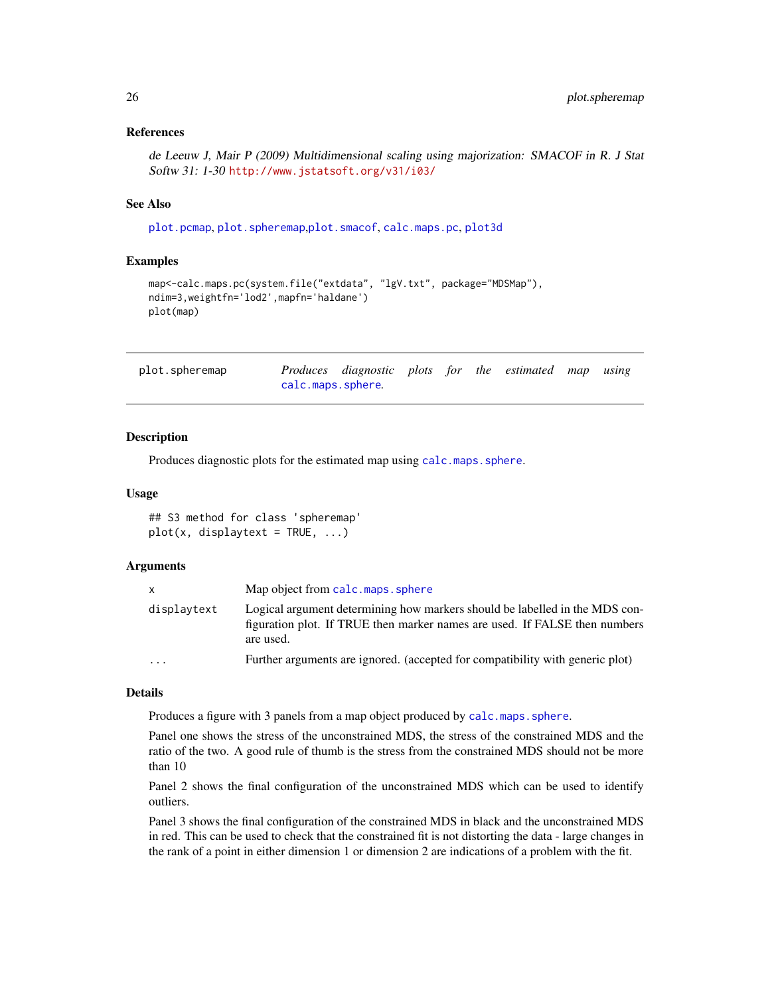# <span id="page-25-0"></span>References

de Leeuw J, Mair P (2009) Multidimensional scaling using majorization: SMACOF in R. J Stat Softw 31: 1-30 <http://www.jstatsoft.org/v31/i03/>

# See Also

[plot.pcmap](#page-23-1), [plot.spheremap](#page-25-1),[plot.smacof](#page-0-0), [calc.maps.pc](#page-2-1), [plot3d](#page-0-0)

# Examples

```
map<-calc.maps.pc(system.file("extdata", "lgV.txt", package="MDSMap"),
ndim=3,weightfn='lod2',mapfn='haldane')
plot(map)
```
<span id="page-25-1"></span>

| plot.spheremap |                   | Produces diagnostic plots for the estimated map using |  |  |  |
|----------------|-------------------|-------------------------------------------------------|--|--|--|
|                | calc.maps.sphere. |                                                       |  |  |  |

# Description

Produces diagnostic plots for the estimated map using [calc.maps.sphere](#page-4-1).

#### Usage

## S3 method for class 'spheremap'  $plot(x, display)$  displaytext = TRUE, ...)

# Arguments

| X                 | Map object from calc.maps.sphere                                                                                                                                       |
|-------------------|------------------------------------------------------------------------------------------------------------------------------------------------------------------------|
| displaytext       | Logical argument determining how markers should be labelled in the MDS con-<br>figuration plot. If TRUE then marker names are used. If FALSE then numbers<br>are used. |
| $\cdot\cdot\cdot$ | Further arguments are ignored. (accepted for compatibility with generic plot)                                                                                          |

# Details

Produces a figure with 3 panels from a map object produced by [calc.maps.sphere](#page-4-1).

Panel one shows the stress of the unconstrained MDS, the stress of the constrained MDS and the ratio of the two. A good rule of thumb is the stress from the constrained MDS should not be more than 10

Panel 2 shows the final configuration of the unconstrained MDS which can be used to identify outliers.

Panel 3 shows the final configuration of the constrained MDS in black and the unconstrained MDS in red. This can be used to check that the constrained fit is not distorting the data - large changes in the rank of a point in either dimension 1 or dimension 2 are indications of a problem with the fit.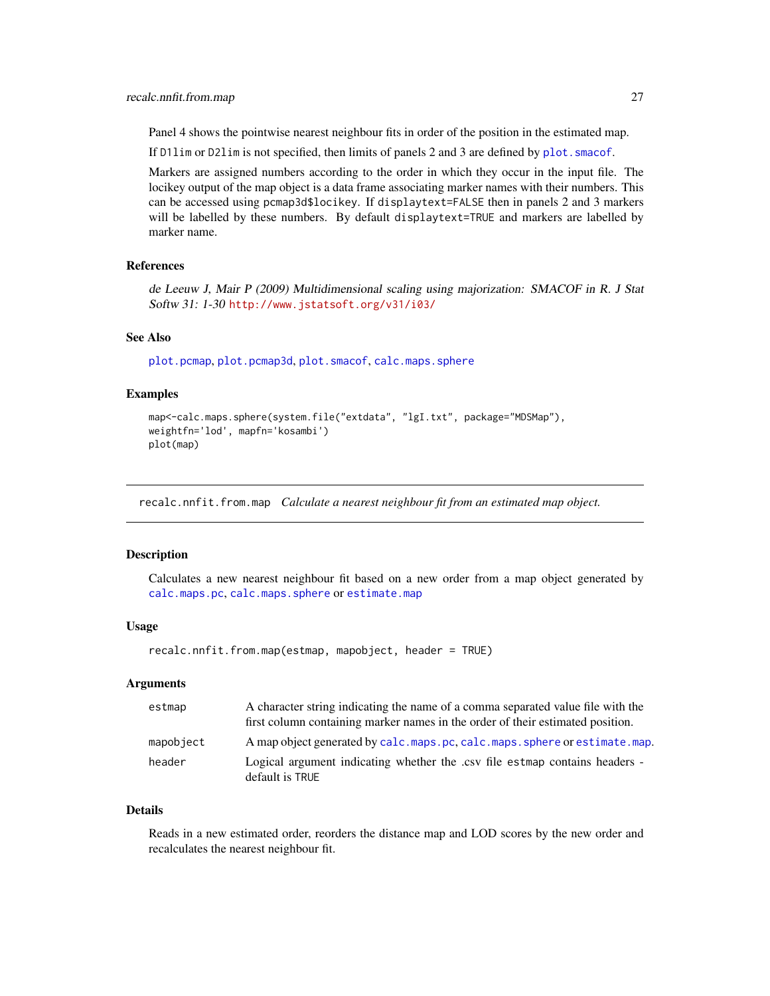<span id="page-26-0"></span>Panel 4 shows the pointwise nearest neighbour fits in order of the position in the estimated map.

If D11 im or D21 im is not specified, then limits of panels 2 and 3 are defined by plot. smacof.

Markers are assigned numbers according to the order in which they occur in the input file. The locikey output of the map object is a data frame associating marker names with their numbers. This can be accessed using pcmap3d\$locikey. If displaytext=FALSE then in panels 2 and 3 markers will be labelled by these numbers. By default displaytext=TRUE and markers are labelled by marker name.

#### References

de Leeuw J, Mair P (2009) Multidimensional scaling using majorization: SMACOF in R. J Stat Softw 31: 1-30 <http://www.jstatsoft.org/v31/i03/>

#### See Also

[plot.pcmap](#page-23-1), [plot.pcmap3d](#page-24-1), [plot.smacof](#page-0-0), [calc.maps.sphere](#page-4-1)

# Examples

```
map<-calc.maps.sphere(system.file("extdata", "lgI.txt", package="MDSMap"),
weightfn='lod', mapfn='kosambi')
plot(map)
```
recalc.nnfit.from.map *Calculate a nearest neighbour fit from an estimated map object.*

# Description

Calculates a new nearest neighbour fit based on a new order from a map object generated by [calc.maps.pc](#page-2-1), [calc.maps.sphere](#page-4-1) or [estimate.map](#page-14-1)

# Usage

recalc.nnfit.from.map(estmap, mapobject, header = TRUE)

#### Arguments

| estmap    | A character string indicating the name of a comma separated value file with the<br>first column containing marker names in the order of their estimated position. |
|-----------|-------------------------------------------------------------------------------------------------------------------------------------------------------------------|
| mapobject | A map object generated by calc.maps.pc, calc.maps.sphere or estimate.map.                                                                                         |
| header    | Logical argument indicating whether the .csv file estmap contains headers -<br>default is TRUE                                                                    |

#### Details

Reads in a new estimated order, reorders the distance map and LOD scores by the new order and recalculates the nearest neighbour fit.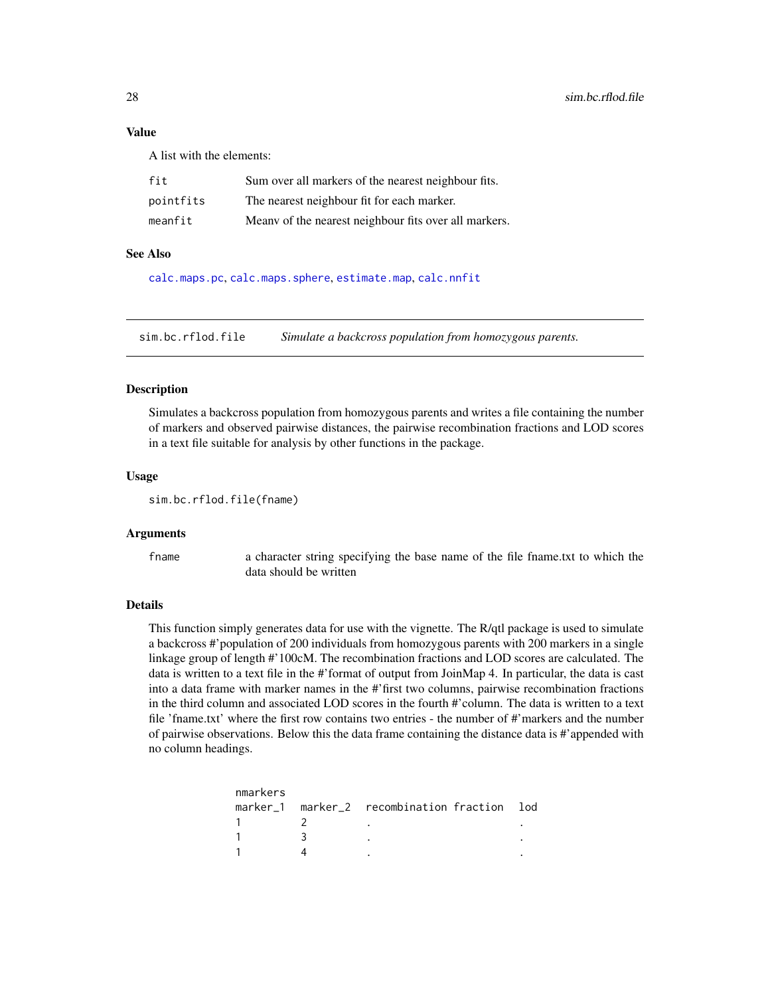# Value

A list with the elements:

| fit       | Sum over all markers of the nearest neighbour fits.   |
|-----------|-------------------------------------------------------|
| pointfits | The nearest neighbour fit for each marker.            |
| meanfit   | Meany of the nearest neighbour fits over all markers. |

#### See Also

[calc.maps.pc](#page-2-1), [calc.maps.sphere](#page-4-1), [estimate.map](#page-14-1), [calc.nnfit](#page-6-1)

sim.bc.rflod.file *Simulate a backcross population from homozygous parents.*

#### Description

Simulates a backcross population from homozygous parents and writes a file containing the number of markers and observed pairwise distances, the pairwise recombination fractions and LOD scores in a text file suitable for analysis by other functions in the package.

# Usage

sim.bc.rflod.file(fname)

# Arguments

fname a character string specifying the base name of the file fname.txt to which the data should be written

#### Details

This function simply generates data for use with the vignette. The R/qtl package is used to simulate a backcross #'population of 200 individuals from homozygous parents with 200 markers in a single linkage group of length #'100cM. The recombination fractions and LOD scores are calculated. The data is written to a text file in the #'format of output from JoinMap 4. In particular, the data is cast into a data frame with marker names in the #'first two columns, pairwise recombination fractions in the third column and associated LOD scores in the fourth #'column. The data is written to a text file 'fname.txt' where the first row contains two entries - the number of #'markers and the number of pairwise observations. Below this the data frame containing the distance data is #'appended with no column headings.

|  | marker 1 marker 2 recombination fraction lod |
|--|----------------------------------------------|

<span id="page-27-0"></span>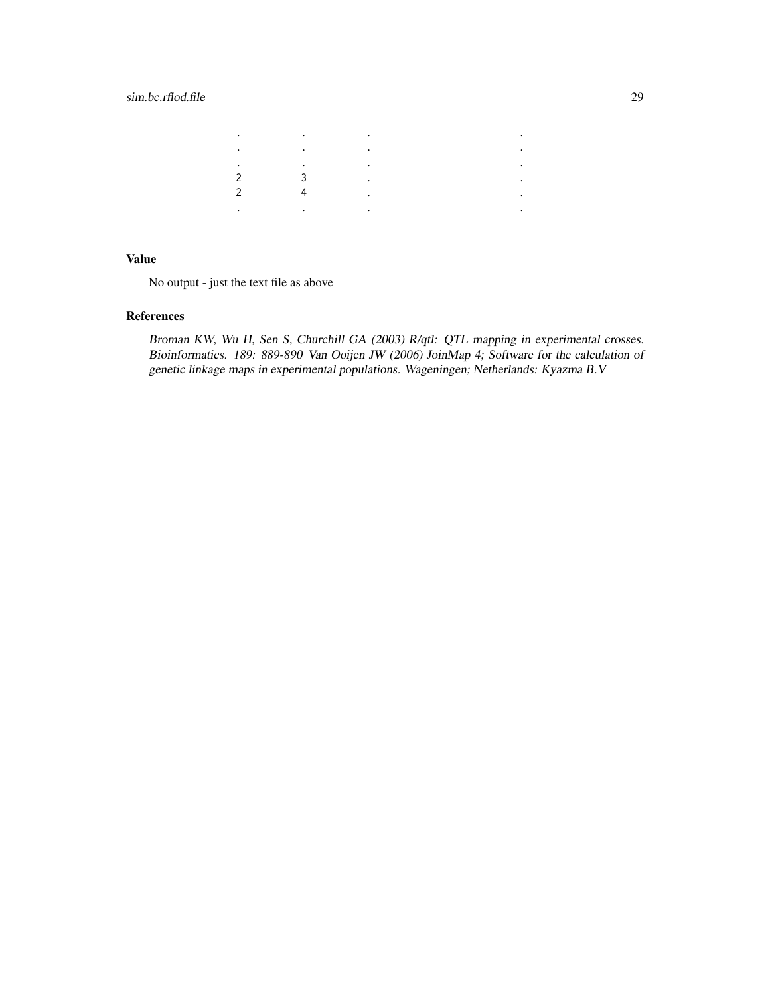# sim.bc.rflod.file 29

| ٠             | $\sim$ 100 $\pm$ | $\sim$ 100 $\pm$ |  |
|---------------|------------------|------------------|--|
| ٠             | $\sim$           | $\sim$ 100 $\pm$ |  |
| ٠             | ٠                | $\cdot$          |  |
| っ             | $\mathbf{R}$     | ٠                |  |
| $\mathcal{D}$ | 4                | ٠                |  |
|               | ٠                | ٠                |  |

# Value

No output - just the text file as above

# References

Broman KW, Wu H, Sen S, Churchill GA (2003) R/qtl: QTL mapping in experimental crosses. Bioinformatics. 189: 889-890 Van Ooijen JW (2006) JoinMap 4; Software for the calculation of genetic linkage maps in experimental populations. Wageningen; Netherlands: Kyazma B.V